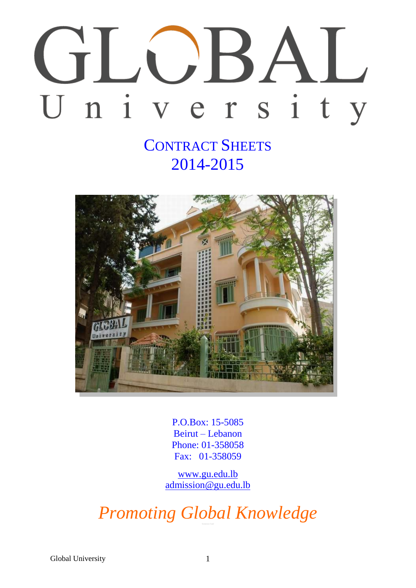# TIJKA  $\begin{array}{c} \begin{array}{c} \end{array} \end{array}$ n i v e r s i t y U

# CONTRACT SHEETS 2014-2015



P.O.Box: 15-5085 Beirut – Lebanon Phone: 01-358058 Fax: 01-358059

[www.gu.edu.lb](http://www.gu.edu.lb/) [admission@gu.edu.lb](mailto:admission@gu.edu.lb)

*Promoting Global Knowledge*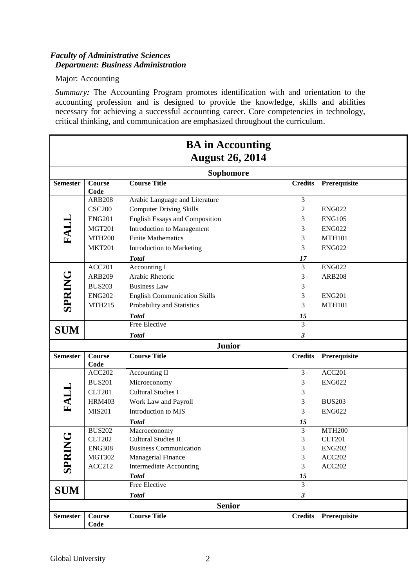# *Faculty of Administrative Sciences Department: Business Administration*

### Major: Accounting

*Summary:* The Accounting Program promotes identification with and orientation to the accounting profession and is designed to provide the knowledge, skills and abilities necessary for achieving a successful accounting career. Core competencies in technology, critical thinking, and communication are emphasized throughout the curriculum.

|                                    |                                                                                                                               | <b>BA</b> in Accounting<br><b>August 26, 2014</b>                                                                                                                                                                                                    |                                                         |                                                                                                                     |
|------------------------------------|-------------------------------------------------------------------------------------------------------------------------------|------------------------------------------------------------------------------------------------------------------------------------------------------------------------------------------------------------------------------------------------------|---------------------------------------------------------|---------------------------------------------------------------------------------------------------------------------|
|                                    |                                                                                                                               | <b>Sophomore</b>                                                                                                                                                                                                                                     |                                                         |                                                                                                                     |
| <b>Semester</b>                    | <b>Course</b><br>Code                                                                                                         | <b>Course Title</b>                                                                                                                                                                                                                                  | <b>Credits</b>                                          | Prerequisite                                                                                                        |
| <b>FALL</b>                        | <b>ARB208</b><br><b>CSC200</b><br><b>ENG201</b><br><b>MGT201</b><br><b>MTH200</b><br><b>MKT201</b><br>ACC201<br><b>ARB209</b> | Arabic Language and Literature<br><b>Computer Driving Skills</b><br><b>English Essays and Composition</b><br>Introduction to Management<br><b>Finite Mathematics</b><br>Introduction to Marketing<br><b>Total</b><br>Accounting I<br>Arabic Rhetoric | 3<br>$\overline{2}$<br>3<br>3<br>3<br>3<br>17<br>3<br>3 | <b>ENG022</b><br><b>ENG105</b><br><b>ENG022</b><br><b>MTH101</b><br><b>ENG022</b><br><b>ENG022</b><br><b>ARB208</b> |
| <b>SPRING</b><br><b>SUM</b>        | <b>BUS203</b><br><b>ENG202</b><br><b>MTH215</b>                                                                               | <b>Business Law</b><br><b>English Communication Skills</b><br>Probability and Statistics<br><b>Total</b><br>Free Elective<br><b>Total</b>                                                                                                            | 3<br>3<br>3<br>15<br>$\overline{3}$<br>3                | <b>ENG201</b><br><b>MTH101</b>                                                                                      |
|                                    |                                                                                                                               | <b>Junior</b>                                                                                                                                                                                                                                        |                                                         |                                                                                                                     |
| <b>Semester</b>                    | <b>Course</b><br>Code                                                                                                         | <b>Course Title</b>                                                                                                                                                                                                                                  | <b>Credits</b>                                          | Prerequisite                                                                                                        |
| FALL                               | ACC202<br><b>BUS201</b><br><b>CLT201</b><br><b>HRM403</b><br><b>MIS201</b>                                                    | Accounting II<br>Microeconomy<br><b>Cultural Studies I</b><br>Work Law and Payroll<br>Introduction to MIS<br><b>Total</b>                                                                                                                            | 3<br>3<br>3<br>3<br>3<br>15                             | ACC201<br><b>ENG022</b><br><b>BUS203</b><br><b>ENG022</b>                                                           |
| U<br>Z<br><b>SPR</b><br><b>SUM</b> | <b>BUS202</b><br><b>CLT202</b><br><b>ENG308</b><br><b>MGT302</b><br><b>ACC212</b>                                             | Macroeconomy<br><b>Cultural Studies II</b><br><b>Business Communication</b><br>Managerial Finance<br><b>Intermediate Accounting</b><br><b>Total</b><br>Free Elective                                                                                 | 3<br>3<br>3<br>3<br>3<br>15<br>3                        | <b>MTH200</b><br><b>CLT201</b><br><b>ENG202</b><br>ACC202<br>ACC202                                                 |
|                                    |                                                                                                                               | <b>Total</b>                                                                                                                                                                                                                                         | 3                                                       |                                                                                                                     |
| <b>Semester</b>                    | Course<br>Code                                                                                                                | <b>Senior</b><br><b>Course Title</b>                                                                                                                                                                                                                 | <b>Credits</b>                                          | Prerequisite                                                                                                        |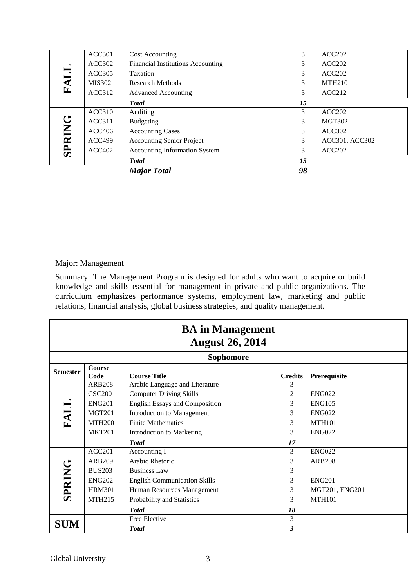|        |               | <b>Total</b><br><b>Major Total</b>       | 15<br>98 |                |
|--------|---------------|------------------------------------------|----------|----------------|
| SPRING | ACC402        | <b>Accounting Information System</b>     | 3        | ACC202         |
|        | <b>ACC499</b> | <b>Accounting Senior Project</b>         | 3        | ACC301, ACC302 |
|        | ACC406        | <b>Accounting Cases</b>                  | 3        | ACC302         |
|        | ACC311        | <b>Budgeting</b>                         | 3        | <b>MGT302</b>  |
|        | ACC310        | Auditing                                 | 3        | ACC202         |
|        |               | <b>Total</b>                             | 15       |                |
|        | ACC312        | <b>Advanced Accounting</b>               | 3        | ACC212         |
| FALL   | <b>MIS302</b> | <b>Research Methods</b>                  | 3        | <b>MTH210</b>  |
|        | ACC305        | Taxation                                 | 3        | ACC202         |
|        | ACC302        | <b>Financial Institutions Accounting</b> | 3        | ACC202         |
|        | <b>ACC301</b> | <b>Cost Accounting</b>                   | 3        | ACC202         |

#### Major: Management

|                 | ACCJUZ                         | т піансіаг пімпинону десойнинд                                                                                                                                                                                                                                                                                                                                                    |                         |                    |
|-----------------|--------------------------------|-----------------------------------------------------------------------------------------------------------------------------------------------------------------------------------------------------------------------------------------------------------------------------------------------------------------------------------------------------------------------------------|-------------------------|--------------------|
| FALL            | ACC305                         | Taxation                                                                                                                                                                                                                                                                                                                                                                          | 3                       | ACC <sub>202</sub> |
|                 | MIS302                         | <b>Research Methods</b>                                                                                                                                                                                                                                                                                                                                                           | 3                       | <b>MTH210</b>      |
|                 | ACC312                         | <b>Advanced Accounting</b>                                                                                                                                                                                                                                                                                                                                                        | 3                       | <b>ACC212</b>      |
|                 |                                | <b>Total</b>                                                                                                                                                                                                                                                                                                                                                                      | 15                      |                    |
|                 | <b>ACC310</b>                  | Auditing                                                                                                                                                                                                                                                                                                                                                                          | 3                       | ACC202             |
|                 | <b>ACC311</b>                  | <b>Budgeting</b>                                                                                                                                                                                                                                                                                                                                                                  | 3                       | <b>MGT302</b>      |
|                 | ACC406                         | <b>Accounting Cases</b>                                                                                                                                                                                                                                                                                                                                                           | 3                       | ACC302             |
|                 | <b>ACC499</b>                  | <b>Accounting Senior Project</b>                                                                                                                                                                                                                                                                                                                                                  | 3                       | ACC301, ACC302     |
| <b>SPRING</b>   | <b>ACC402</b>                  | <b>Accounting Information System</b>                                                                                                                                                                                                                                                                                                                                              | 3                       | ACC202             |
|                 |                                | <b>Total</b>                                                                                                                                                                                                                                                                                                                                                                      | 15                      |                    |
|                 |                                | <b>Major Total</b>                                                                                                                                                                                                                                                                                                                                                                | 98                      |                    |
|                 |                                |                                                                                                                                                                                                                                                                                                                                                                                   |                         |                    |
|                 | Major: Management              | Summary: The Management Program is designed for adults who want to acquire or build<br>knowledge and skills essential for management in private and public organizations. The<br>curriculum emphasizes performance systems, employment law, marketing and public<br>relations, financial analysis, global business strategies, and quality management.<br><b>BA</b> in Management |                         |                    |
|                 |                                | <b>August 26, 2014</b><br><b>Sophomore</b>                                                                                                                                                                                                                                                                                                                                        |                         |                    |
|                 | Course                         |                                                                                                                                                                                                                                                                                                                                                                                   |                         |                    |
|                 | Code                           | <b>Course Title</b>                                                                                                                                                                                                                                                                                                                                                               | <b>Credits</b>          | Prerequisite       |
|                 | <b>ARB208</b>                  | Arabic Language and Literature                                                                                                                                                                                                                                                                                                                                                    | $\overline{\mathbf{3}}$ |                    |
|                 | <b>CSC200</b>                  | <b>Computer Driving Skills</b>                                                                                                                                                                                                                                                                                                                                                    | $\mathfrak{2}$          | <b>ENG022</b>      |
|                 | <b>ENG201</b>                  | <b>English Essays and Composition</b>                                                                                                                                                                                                                                                                                                                                             | 3                       | <b>ENG105</b>      |
|                 | <b>MGT201</b>                  | Introduction to Management                                                                                                                                                                                                                                                                                                                                                        | 3                       | <b>ENG022</b>      |
| <b>FALL</b>     | <b>MTH200</b>                  | <b>Finite Mathematics</b>                                                                                                                                                                                                                                                                                                                                                         | 3                       | <b>MTH101</b>      |
|                 | <b>MKT201</b>                  | Introduction to Marketing                                                                                                                                                                                                                                                                                                                                                         | 3                       | <b>ENG022</b>      |
|                 |                                | <b>Total</b>                                                                                                                                                                                                                                                                                                                                                                      | 17                      |                    |
|                 | <b>ACC201</b>                  | Accounting I                                                                                                                                                                                                                                                                                                                                                                      | 3                       | <b>ENG022</b>      |
|                 | ARB209                         | Arabic Rhetoric                                                                                                                                                                                                                                                                                                                                                                   | 3                       | <b>ARB208</b>      |
|                 | <b>BUS203</b>                  | <b>Business Law</b>                                                                                                                                                                                                                                                                                                                                                               | 3                       |                    |
|                 | <b>ENG202</b><br><b>HRM301</b> | <b>English Communication Skills</b>                                                                                                                                                                                                                                                                                                                                               | 3<br>3                  | <b>ENG201</b>      |
| <b>SPRING</b>   |                                | Human Resources Management                                                                                                                                                                                                                                                                                                                                                        |                         | MGT201, ENG201     |
| <b>Semester</b> | <b>MTH215</b>                  | Probability and Statistics                                                                                                                                                                                                                                                                                                                                                        | 3                       | <b>MTH101</b>      |
| <b>SUM</b>      |                                | <b>Total</b><br>Free Elective                                                                                                                                                                                                                                                                                                                                                     | 18<br>$\mathfrak{Z}$    |                    |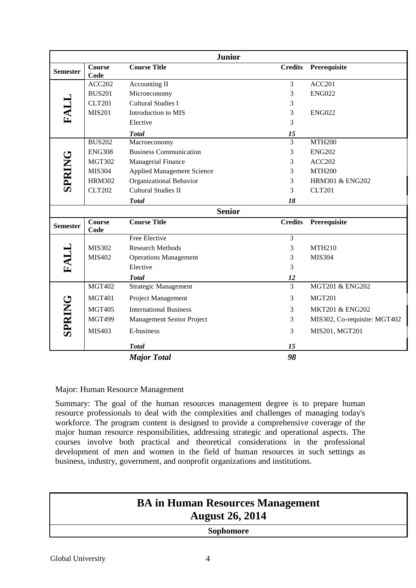|                 |                       | <b>Junior</b>                     |                |                              |
|-----------------|-----------------------|-----------------------------------|----------------|------------------------------|
| <b>Semester</b> | <b>Course</b><br>Code | <b>Course Title</b>               | <b>Credits</b> | Prerequisite                 |
|                 | <b>ACC202</b>         | Accounting II                     | $\mathfrak{Z}$ | <b>ACC201</b>                |
|                 | <b>BUS201</b>         | Microeconomy                      | 3              | <b>ENG022</b>                |
|                 | <b>CLT201</b>         | <b>Cultural Studies I</b>         | 3              |                              |
| FALL            | <b>MIS201</b>         | Introduction to MIS               | 3              | <b>ENG022</b>                |
|                 |                       | Elective                          | 3              |                              |
|                 |                       | <b>Total</b>                      | 15             |                              |
|                 | <b>BUS202</b>         | Macroeconomy                      | $\overline{3}$ | <b>MTH200</b>                |
|                 | <b>ENG308</b>         | <b>Business Communication</b>     | 3              | <b>ENG202</b>                |
|                 | <b>MGT302</b>         | Managerial Finance                | 3              | <b>ACC202</b>                |
| SPRING          | <b>MIS304</b>         | <b>Applied Management Science</b> | 3              | <b>MTH200</b>                |
|                 | <b>HRM302</b>         | <b>Organizational Behavior</b>    | 3              | HRM301 & ENG202              |
|                 | <b>CLT202</b>         | <b>Cultural Studies II</b>        | 3              | <b>CLT201</b>                |
|                 |                       | <b>Total</b>                      | 18             |                              |
|                 |                       | <b>Senior</b>                     |                |                              |
| <b>Semester</b> | <b>Course</b><br>Code | <b>Course Title</b>               | <b>Credits</b> | Prerequisite                 |
|                 |                       | <b>Free Elective</b>              | 3              |                              |
|                 | <b>MIS302</b>         | <b>Research Methods</b>           | 3              | <b>MTH210</b>                |
|                 | MIS402                | <b>Operations Management</b>      | 3              | <b>MIS304</b>                |
| FALL            |                       | Elective                          | 3              |                              |
|                 |                       | <b>Total</b>                      | 12             |                              |
|                 | <b>MGT402</b>         | <b>Strategic Management</b>       | 3              | <b>MGT201 &amp; ENG202</b>   |
|                 | <b>MGT401</b>         | Project Management                | 3              | <b>MGT201</b>                |
|                 | <b>MGT405</b>         | <b>International Business</b>     | 3              | <b>MKT201 &amp; ENG202</b>   |
|                 | <b>MGT499</b>         | Management Senior Project         | 3              | MIS302, Co-requisite: MGT402 |
| <b>SPRING</b>   | MIS403                | E-business                        | 3              | MIS201, MGT201               |
|                 |                       | <b>Total</b>                      | 15             |                              |
|                 |                       | <b>Major Total</b>                | 98             |                              |

# Major: Human Resource Management

Summary: The goal of the human resources management degree is to prepare human resource professionals to deal with the complexities and challenges of managing today's workforce. The program content is designed to provide a comprehensive coverage of the major human resource responsibilities, addressing strategic and operational aspects. The courses involve both practical and theoretical considerations in the professional development of men and women in the field of human resources in such settings as business, industry, government, and nonprofit organizations and institutions.

| <b>BA in Human Resources Management</b><br><b>August 26, 2014</b> |  |
|-------------------------------------------------------------------|--|
| <b>Sophomore</b>                                                  |  |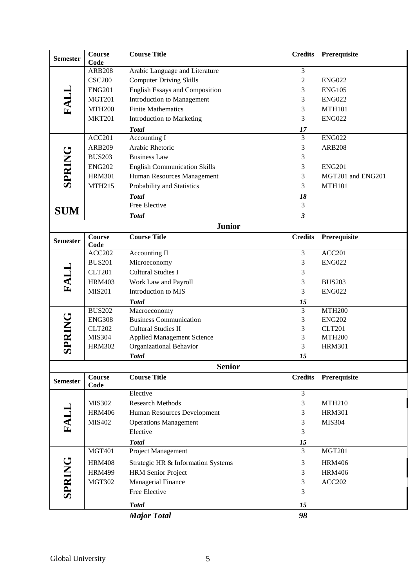| <b>Semester</b> | <b>Course</b><br>Code | <b>Course Title</b>                   | <b>Credits</b> | Prerequisite      |
|-----------------|-----------------------|---------------------------------------|----------------|-------------------|
|                 | <b>ARB208</b>         | Arabic Language and Literature        | 3              |                   |
|                 | <b>CSC200</b>         | <b>Computer Driving Skills</b>        | $\mathbf{2}$   | <b>ENG022</b>     |
|                 | <b>ENG201</b>         | <b>English Essays and Composition</b> | 3              | <b>ENG105</b>     |
| FALL            | <b>MGT201</b>         | Introduction to Management            | 3              | <b>ENG022</b>     |
|                 | <b>MTH200</b>         | <b>Finite Mathematics</b>             | 3              | <b>MTH101</b>     |
|                 | <b>MKT201</b>         | <b>Introduction to Marketing</b>      | 3              | <b>ENG022</b>     |
|                 |                       | <b>Total</b>                          | 17             |                   |
|                 | ACC201                | Accounting I                          | 3              | <b>ENG022</b>     |
|                 | <b>ARB209</b>         | Arabic Rhetoric                       | 3              | <b>ARB208</b>     |
|                 | <b>BUS203</b>         | <b>Business Law</b>                   | 3              |                   |
| <b>SPRING</b>   | <b>ENG202</b>         | <b>English Communication Skills</b>   | 3              | <b>ENG201</b>     |
|                 | <b>HRM301</b>         | Human Resources Management            | 3              | MGT201 and ENG201 |
|                 | <b>MTH215</b>         | Probability and Statistics            | 3              | <b>MTH101</b>     |
|                 |                       | <b>Total</b>                          | 18             |                   |
| <b>SUM</b>      |                       | Free Elective                         | 3              |                   |
|                 |                       | <b>Total</b>                          | 3              |                   |
|                 |                       | <b>Junior</b>                         |                |                   |
| <b>Semester</b> | <b>Course</b><br>Code | <b>Course Title</b>                   | <b>Credits</b> | Prerequisite      |
| FALL            | <b>ACC202</b>         | Accounting II                         | 3              | ACC201            |
|                 | <b>BUS201</b>         | Microeconomy                          | 3              | <b>ENG022</b>     |
|                 | <b>CLT201</b>         | <b>Cultural Studies I</b>             | 3              |                   |
|                 | <b>HRM403</b>         | Work Law and Payroll                  | 3              | <b>BUS203</b>     |
|                 | <b>MIS201</b>         | Introduction to MIS                   | 3              | <b>ENG022</b>     |
|                 |                       | <b>Total</b>                          | 15             |                   |
|                 | <b>BUS202</b>         | Macroeconomy                          | 3              | <b>MTH200</b>     |
| SPRING          | <b>ENG308</b>         | <b>Business Communication</b>         | 3              | <b>ENG202</b>     |
|                 | <b>CLT202</b>         | <b>Cultural Studies II</b>            | 3              | <b>CLT201</b>     |
|                 | <b>MIS304</b>         | <b>Applied Management Science</b>     | 3              | <b>MTH200</b>     |
|                 | <b>HRM302</b>         | Organizational Behavior               | 3              | <b>HRM301</b>     |
|                 |                       | <b>Total</b>                          | 15             |                   |
|                 | <b>Course</b>         | <b>Senior</b><br><b>Course Title</b>  | <b>Credits</b> | Prerequisite      |
| <b>Semester</b> | Code                  |                                       |                |                   |
|                 |                       | Elective                              | 3              |                   |
|                 | <b>MIS302</b>         | <b>Research Methods</b>               | 3              | <b>MTH210</b>     |
| FALL            | <b>HRM406</b>         | Human Resources Development           | 3              | <b>HRM301</b>     |
|                 | MIS402                | <b>Operations Management</b>          | 3              | <b>MIS304</b>     |
|                 |                       | Elective                              | 3              |                   |
|                 |                       | <b>Total</b>                          | 15             |                   |
|                 | MGT401                | Project Management                    | 3              | MGT201            |
|                 | <b>HRM408</b>         | Strategic HR & Information Systems    | 3              | <b>HRM406</b>     |
|                 | <b>HRM499</b>         | <b>HRM</b> Senior Project             | 3              | <b>HRM406</b>     |
|                 | <b>MGT302</b>         | Managerial Finance                    | 3              | <b>ACC202</b>     |
| <b>SPRING</b>   |                       | Free Elective                         | 3              |                   |
|                 |                       | <b>Total</b>                          | 15             |                   |
|                 |                       | <b>Major Total</b>                    | 98             |                   |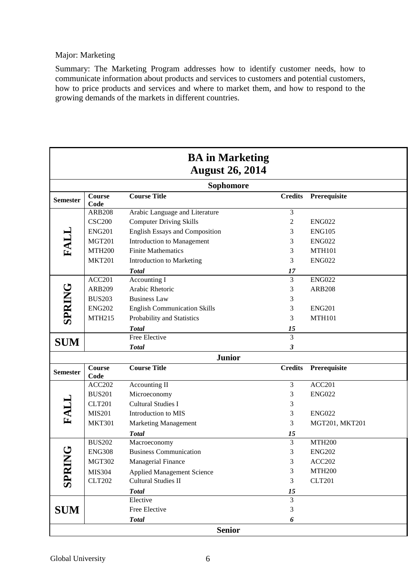#### Major: Marketing

Summary: The Marketing Program addresses how to identify customer needs, how to communicate information about products and services to customers and potential customers, how to price products and services and where to market them, and how to respond to the growing demands of the markets in different countries.

|                 |                       | <b>BA</b> in Marketing<br><b>August 26, 2014</b> |                |                    |
|-----------------|-----------------------|--------------------------------------------------|----------------|--------------------|
|                 |                       | <b>Sophomore</b>                                 |                |                    |
| <b>Semester</b> | Course<br>Code        | <b>Course Title</b>                              | <b>Credits</b> | Prerequisite       |
|                 | <b>ARB208</b>         | Arabic Language and Literature                   | 3              |                    |
|                 | <b>CSC200</b>         | <b>Computer Driving Skills</b>                   | $\mathbf{2}$   | <b>ENG022</b>      |
|                 | <b>ENG201</b>         | <b>English Essays and Composition</b>            | 3              | <b>ENG105</b>      |
| FALL            | <b>MGT201</b>         | <b>Introduction to Management</b>                | 3              | <b>ENG022</b>      |
|                 | <b>MTH200</b>         | <b>Finite Mathematics</b>                        | 3              | <b>MTH101</b>      |
|                 | <b>MKT201</b>         | <b>Introduction to Marketing</b>                 | 3              | <b>ENG022</b>      |
|                 |                       | <b>Total</b>                                     | 17             |                    |
|                 | <b>ACC201</b>         | Accounting I                                     | 3              | <b>ENG022</b>      |
|                 | <b>ARB209</b>         | Arabic Rhetoric                                  | 3              | <b>ARB208</b>      |
|                 | <b>BUS203</b>         | <b>Business Law</b>                              | 3              |                    |
|                 | <b>ENG202</b>         | <b>English Communication Skills</b>              | 3              | <b>ENG201</b>      |
| <b>SPRING</b>   | <b>MTH215</b>         | Probability and Statistics                       | 3              | <b>MTH101</b>      |
|                 |                       | <b>Total</b>                                     | 15             |                    |
|                 |                       | Free Elective                                    | 3              |                    |
| <b>SUM</b>      |                       | <b>Total</b>                                     | 3              |                    |
|                 |                       | <b>Junior</b>                                    |                |                    |
| <b>Semester</b> | <b>Course</b><br>Code | <b>Course Title</b>                              | <b>Credits</b> | Prerequisite       |
|                 | <b>ACC202</b>         | Accounting II                                    | 3              | ACC <sub>201</sub> |
|                 | <b>BUS201</b>         | Microeconomy                                     | 3              | <b>ENG022</b>      |
| FALL            | <b>CLT201</b>         | <b>Cultural Studies I</b>                        | 3              |                    |
|                 | <b>MIS201</b>         | Introduction to MIS                              | 3              | <b>ENG022</b>      |
|                 | <b>MKT301</b>         | <b>Marketing Management</b>                      | 3              | MGT201, MKT201     |
|                 |                       | <b>Total</b>                                     | 15             |                    |
|                 | <b>BUS202</b>         | Macroeconomy                                     | 3              | <b>MTH200</b>      |
|                 | <b>ENG308</b>         | <b>Business Communication</b>                    | 3              | <b>ENG202</b>      |
|                 | <b>MGT302</b>         | Managerial Finance                               | 3              | ACC <sub>202</sub> |
|                 | <b>MIS304</b>         | <b>Applied Management Science</b>                | 3              | <b>MTH200</b>      |
| SPRIN           | <b>CLT202</b>         | <b>Cultural Studies II</b>                       | 3              | <b>CLT201</b>      |
|                 |                       | <b>Total</b>                                     | 15             |                    |
|                 |                       | Elective                                         | 3              |                    |
| <b>SUM</b>      |                       | Free Elective                                    | 3              |                    |
|                 |                       | <b>Total</b>                                     | 6              |                    |
|                 |                       | <b>Senior</b>                                    |                |                    |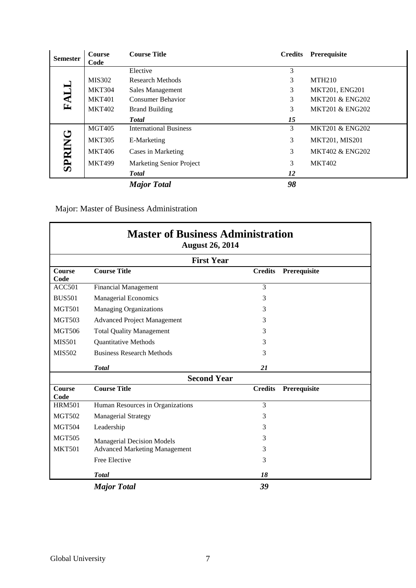| <b>Semester</b> | <b>Course</b><br>Code | <b>Course Title</b>             | <b>Credits</b> | Prerequisite               |
|-----------------|-----------------------|---------------------------------|----------------|----------------------------|
|                 |                       | Elective                        | 3              |                            |
|                 | <b>MIS302</b>         | Research Methods                | 3              | <b>MTH210</b>              |
|                 | <b>MKT304</b>         | Sales Management                | 3              | MKT201, ENG201             |
| FALL            | <b>MKT401</b>         | <b>Consumer Behavior</b>        | 3              | <b>MKT201 &amp; ENG202</b> |
|                 | <b>MKT402</b>         | <b>Brand Building</b>           | 3              | <b>MKT201 &amp; ENG202</b> |
|                 |                       | <b>Total</b>                    | 15             |                            |
|                 | <b>MGT405</b>         | <b>International Business</b>   | 3              | <b>MKT201 &amp; ENG202</b> |
|                 | <b>MKT305</b>         | E-Marketing                     | 3              | MKT201, MIS201             |
| <b>SPRING</b>   | <b>MKT406</b>         | Cases in Marketing              | 3              | <b>MKT402 &amp; ENG202</b> |
|                 | <b>MKT499</b>         | <b>Marketing Senior Project</b> | 3              | <b>MKT402</b>              |
|                 |                       | <b>Total</b>                    | 12             |                            |
|                 |                       | <b>Major Total</b>              | 98             |                            |

Major: Master of Business Administration

| <b>Master of Business Administration</b><br><b>August 26, 2014</b> |                                      |                                |  |  |  |  |
|--------------------------------------------------------------------|--------------------------------------|--------------------------------|--|--|--|--|
|                                                                    | <b>First Year</b>                    |                                |  |  |  |  |
| Course<br>Code                                                     | <b>Course Title</b>                  | <b>Credits</b><br>Prerequisite |  |  |  |  |
| <b>ACC501</b>                                                      | <b>Financial Management</b>          | 3                              |  |  |  |  |
| <b>BUS501</b>                                                      | <b>Managerial Economics</b>          | 3                              |  |  |  |  |
| <b>MGT501</b>                                                      | <b>Managing Organizations</b>        | 3                              |  |  |  |  |
| <b>MGT503</b>                                                      | <b>Advanced Project Management</b>   | 3                              |  |  |  |  |
| <b>MGT506</b>                                                      | <b>Total Quality Management</b>      | 3                              |  |  |  |  |
| <b>MIS501</b>                                                      | <b>Quantitative Methods</b>          | 3                              |  |  |  |  |
| MIS502                                                             | <b>Business Research Methods</b>     | 3                              |  |  |  |  |
|                                                                    | <b>Total</b>                         | 21                             |  |  |  |  |
|                                                                    | <b>Second Year</b>                   |                                |  |  |  |  |
| <b>Course</b><br>Code                                              | <b>Course Title</b>                  | <b>Credits</b><br>Prerequisite |  |  |  |  |
| <b>HRM501</b>                                                      | Human Resources in Organizations     | 3                              |  |  |  |  |
| <b>MGT502</b>                                                      | Managerial Strategy                  | 3                              |  |  |  |  |
| <b>MGT504</b>                                                      | Leadership                           | 3                              |  |  |  |  |
| <b>MGT505</b>                                                      | <b>Managerial Decision Models</b>    | 3                              |  |  |  |  |
| <b>MKT501</b>                                                      | <b>Advanced Marketing Management</b> | 3                              |  |  |  |  |
|                                                                    | Free Elective                        | 3                              |  |  |  |  |
|                                                                    | <b>Total</b>                         | 18                             |  |  |  |  |
|                                                                    | <b>Major Total</b>                   | 39                             |  |  |  |  |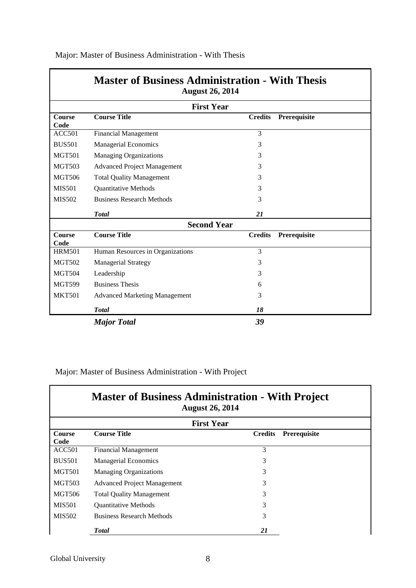|                       | <b>Master of Business Administration - With Thesis</b><br><b>August 26, 2014</b> |                |              |
|-----------------------|----------------------------------------------------------------------------------|----------------|--------------|
|                       | <b>First Year</b>                                                                |                |              |
| <b>Course</b><br>Code | <b>Course Title</b>                                                              | <b>Credits</b> | Prerequisite |
| ACC501                | <b>Financial Management</b>                                                      | 3              |              |
| <b>BUS501</b>         | Managerial Economics                                                             | 3              |              |
| <b>MGT501</b>         | <b>Managing Organizations</b>                                                    | 3              |              |
| <b>MGT503</b>         | <b>Advanced Project Management</b>                                               | 3              |              |
| <b>MGT506</b>         | <b>Total Quality Management</b>                                                  | 3              |              |
| <b>MIS501</b>         | <b>Quantitative Methods</b>                                                      | 3              |              |
| <b>MIS502</b>         | <b>Business Research Methods</b>                                                 | 3              |              |
|                       | <b>Total</b>                                                                     | 21             |              |
|                       | <b>Second Year</b>                                                               |                |              |
| <b>Course</b><br>Code | <b>Course Title</b>                                                              | <b>Credits</b> | Prerequisite |
| <b>HRM501</b>         | Human Resources in Organizations                                                 | 3              |              |
| <b>MGT502</b>         | <b>Managerial Strategy</b>                                                       | 3              |              |
| <b>MGT504</b>         | Leadership                                                                       | 3              |              |
| <b>MGT599</b>         | <b>Business Thesis</b>                                                           | 6              |              |
| <b>MKT501</b>         | <b>Advanced Marketing Management</b>                                             | 3              |              |
|                       | <b>Total</b>                                                                     | 18             |              |
|                       | <b>Major Total</b>                                                               | 39             |              |

Major: Master of Business Administration - With Thesis

Major: Master of Business Administration - With Project

|                       | <b>Master of Business Administration - With Project</b><br><b>August 26, 2014</b> |                   |              |  |
|-----------------------|-----------------------------------------------------------------------------------|-------------------|--------------|--|
|                       |                                                                                   | <b>First Year</b> |              |  |
| <b>Course</b><br>Code | <b>Course Title</b>                                                               | <b>Credits</b>    | Prerequisite |  |
| <b>ACC501</b>         | <b>Financial Management</b>                                                       | 3                 |              |  |
| <b>BUS501</b>         | <b>Managerial Economics</b>                                                       | 3                 |              |  |
| <b>MGT501</b>         | <b>Managing Organizations</b>                                                     | 3                 |              |  |
| <b>MGT503</b>         | <b>Advanced Project Management</b>                                                | 3                 |              |  |
| <b>MGT506</b>         | <b>Total Quality Management</b>                                                   | 3                 |              |  |
| <b>MIS501</b>         | <b>Ouantitative Methods</b>                                                       | 3                 |              |  |
| <b>MIS502</b>         | <b>Business Research Methods</b>                                                  | 3                 |              |  |
|                       | <b>T</b> otal                                                                     | 21                |              |  |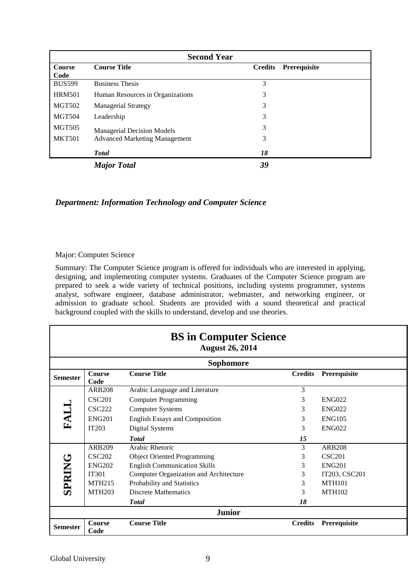| <b>Second Year</b>    |                                      |                                |  |  |
|-----------------------|--------------------------------------|--------------------------------|--|--|
| <b>Course</b><br>Code | <b>Course Title</b>                  | <b>Credits</b><br>Prerequisite |  |  |
| <b>BUS599</b>         | <b>Business Thesis</b>               | 3                              |  |  |
| <b>HRM501</b>         | Human Resources in Organizations     | 3                              |  |  |
| <b>MGT502</b>         | <b>Managerial Strategy</b>           | 3                              |  |  |
| <b>MGT504</b>         | Leadership                           | 3                              |  |  |
| <b>MGT505</b>         | <b>Managerial Decision Models</b>    | 3                              |  |  |
| <b>MKT501</b>         | <b>Advanced Marketing Management</b> | 3                              |  |  |
|                       | <b>Total</b>                         | 18                             |  |  |
|                       | <b>Major Total</b>                   | 39                             |  |  |

### *Department: Information Technology and Computer Science*

#### Major: Computer Science

Summary: The Computer Science program is offered for individuals who are interested in applying, designing, and implementing computer systems. Graduates of the Computer Science program are prepared to seek a wide variety of technical positions, including systems programmer, systems analyst, software engineer, database administrator, webmaster, and networking engineer, or admission to graduate school. Students are provided with a sound theoretical and practical background coupled with the skills to understand, develop and use theories.

|                 |                       | <b>BS</b> in Computer Science<br><b>August 26, 2014</b> |                |               |
|-----------------|-----------------------|---------------------------------------------------------|----------------|---------------|
|                 |                       | <b>Sophomore</b>                                        |                |               |
| <b>Semester</b> | <b>Course</b><br>Code | <b>Course Title</b>                                     | <b>Credits</b> | Prerequisite  |
|                 | <b>ARB208</b>         | Arabic Language and Literature                          | 3              |               |
|                 | <b>CSC201</b>         | <b>Computer Programming</b>                             | 3              | <b>ENG022</b> |
|                 | <b>CSC222</b>         | <b>Computer Systems</b>                                 | 3              | <b>ENG022</b> |
| FALL            | <b>ENG201</b>         | <b>English Essays and Composition</b>                   | 3              | <b>ENG105</b> |
|                 | IT203                 | Digital Systems                                         | 3              | <b>ENG022</b> |
|                 |                       | <b>Total</b>                                            | 15             |               |
|                 | <b>ARB209</b>         | Arabic Rhetoric                                         | 3              | <b>ARB208</b> |
|                 | <b>CSC202</b>         | <b>Object Oriented Programming</b>                      | 3              | <b>CSC201</b> |
| <b>SPRING</b>   | <b>ENG202</b>         | <b>English Communication Skills</b>                     | 3              | <b>ENG201</b> |
|                 | <b>IT301</b>          | Computer Organization and Architecture                  | 3              | IT203, CSC201 |
|                 | <b>MTH215</b>         | Probability and Statistics                              | 3              | <b>MTH101</b> |
|                 | <b>MTH203</b>         | <b>Discrete Mathematics</b>                             | 3              | <b>MTH102</b> |
|                 |                       | <b>T</b> otal                                           | 18             |               |
|                 |                       | <b>Junior</b>                                           |                |               |
| <b>Semester</b> | <b>Course</b><br>Code | <b>Course Title</b>                                     | <b>Credits</b> | Prerequisite  |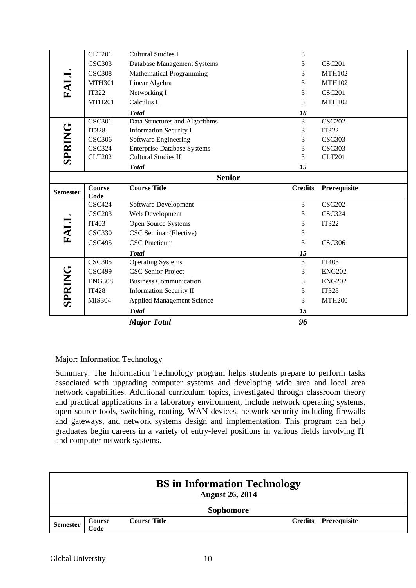|                   | <b>CLT201</b> | <b>Cultural Studies I</b>                                                                                                                                                                                                                                                                                                                                                                                                                                                                                                                                                                                                                                                                                                                                       | $\mathfrak{Z}$       |               |
|-------------------|---------------|-----------------------------------------------------------------------------------------------------------------------------------------------------------------------------------------------------------------------------------------------------------------------------------------------------------------------------------------------------------------------------------------------------------------------------------------------------------------------------------------------------------------------------------------------------------------------------------------------------------------------------------------------------------------------------------------------------------------------------------------------------------------|----------------------|---------------|
|                   | <b>CSC303</b> | Database Management Systems                                                                                                                                                                                                                                                                                                                                                                                                                                                                                                                                                                                                                                                                                                                                     | 3                    | <b>CSC201</b> |
|                   | <b>CSC308</b> | <b>Mathematical Programming</b>                                                                                                                                                                                                                                                                                                                                                                                                                                                                                                                                                                                                                                                                                                                                 | $\mathfrak 3$        | <b>MTH102</b> |
| FALL              | <b>MTH301</b> | Linear Algebra                                                                                                                                                                                                                                                                                                                                                                                                                                                                                                                                                                                                                                                                                                                                                  | 3                    | <b>MTH102</b> |
|                   | <b>IT322</b>  | Networking I                                                                                                                                                                                                                                                                                                                                                                                                                                                                                                                                                                                                                                                                                                                                                    | 3                    | <b>CSC201</b> |
|                   | <b>MTH201</b> | Calculus II                                                                                                                                                                                                                                                                                                                                                                                                                                                                                                                                                                                                                                                                                                                                                     | 3                    | <b>MTH102</b> |
|                   |               |                                                                                                                                                                                                                                                                                                                                                                                                                                                                                                                                                                                                                                                                                                                                                                 |                      |               |
|                   | <b>CSC301</b> | <b>Total</b>                                                                                                                                                                                                                                                                                                                                                                                                                                                                                                                                                                                                                                                                                                                                                    | 18<br>$\overline{3}$ | <b>CSC202</b> |
|                   | <b>IT328</b>  | Data Structures and Algorithms<br><b>Information Security I</b>                                                                                                                                                                                                                                                                                                                                                                                                                                                                                                                                                                                                                                                                                                 | $\mathfrak 3$        | IT322         |
|                   | <b>CSC306</b> | Software Engineering                                                                                                                                                                                                                                                                                                                                                                                                                                                                                                                                                                                                                                                                                                                                            | 3                    | <b>CSC303</b> |
|                   | <b>CSC324</b> | <b>Enterprise Database Systems</b>                                                                                                                                                                                                                                                                                                                                                                                                                                                                                                                                                                                                                                                                                                                              | $\mathfrak 3$        | <b>CSC303</b> |
| <b>SPRING</b>     | <b>CLT202</b> | <b>Cultural Studies II</b>                                                                                                                                                                                                                                                                                                                                                                                                                                                                                                                                                                                                                                                                                                                                      | 3                    | <b>CLT201</b> |
|                   |               | <b>Total</b>                                                                                                                                                                                                                                                                                                                                                                                                                                                                                                                                                                                                                                                                                                                                                    | 15                   |               |
|                   |               | <b>Senior</b>                                                                                                                                                                                                                                                                                                                                                                                                                                                                                                                                                                                                                                                                                                                                                   |                      |               |
|                   | <b>Course</b> | <b>Course Title</b>                                                                                                                                                                                                                                                                                                                                                                                                                                                                                                                                                                                                                                                                                                                                             | <b>Credits</b>       | Prerequisite  |
| <b>Semester</b>   | Code          |                                                                                                                                                                                                                                                                                                                                                                                                                                                                                                                                                                                                                                                                                                                                                                 |                      |               |
|                   | <b>CSC424</b> | Software Development                                                                                                                                                                                                                                                                                                                                                                                                                                                                                                                                                                                                                                                                                                                                            | 3                    | <b>CSC202</b> |
|                   | <b>CSC203</b> | Web Development                                                                                                                                                                                                                                                                                                                                                                                                                                                                                                                                                                                                                                                                                                                                                 | $\mathfrak{Z}$       | <b>CSC324</b> |
|                   | IT403         | Open Source Systems                                                                                                                                                                                                                                                                                                                                                                                                                                                                                                                                                                                                                                                                                                                                             | $\mathfrak 3$        | <b>IT322</b>  |
| FALL              | <b>CSC330</b> | CSC Seminar (Elective)                                                                                                                                                                                                                                                                                                                                                                                                                                                                                                                                                                                                                                                                                                                                          | $\mathfrak 3$        |               |
|                   | <b>CSC495</b> | <b>CSC</b> Practicum                                                                                                                                                                                                                                                                                                                                                                                                                                                                                                                                                                                                                                                                                                                                            | 3                    | <b>CSC306</b> |
|                   |               | <b>Total</b>                                                                                                                                                                                                                                                                                                                                                                                                                                                                                                                                                                                                                                                                                                                                                    | 15                   |               |
|                   | <b>CSC305</b> | <b>Operating Systems</b>                                                                                                                                                                                                                                                                                                                                                                                                                                                                                                                                                                                                                                                                                                                                        | $\overline{3}$       | IT403         |
|                   | <b>CSC499</b> | <b>CSC Senior Project</b>                                                                                                                                                                                                                                                                                                                                                                                                                                                                                                                                                                                                                                                                                                                                       | 3                    | <b>ENG202</b> |
|                   | <b>ENG308</b> | <b>Business Communication</b>                                                                                                                                                                                                                                                                                                                                                                                                                                                                                                                                                                                                                                                                                                                                   | 3                    | <b>ENG202</b> |
| <b>SPRING</b>     | <b>IT428</b>  | <b>Information Security II</b>                                                                                                                                                                                                                                                                                                                                                                                                                                                                                                                                                                                                                                                                                                                                  | $\mathfrak 3$        | <b>IT328</b>  |
|                   | MIS304        | <b>Applied Management Science</b>                                                                                                                                                                                                                                                                                                                                                                                                                                                                                                                                                                                                                                                                                                                               | 3                    | <b>MTH200</b> |
|                   |               | <b>Total</b>                                                                                                                                                                                                                                                                                                                                                                                                                                                                                                                                                                                                                                                                                                                                                    | 15                   |               |
|                   |               | <b>Major Total</b>                                                                                                                                                                                                                                                                                                                                                                                                                                                                                                                                                                                                                                                                                                                                              | 96                   |               |
|                   |               | Major: Information Technology<br>Summary: The Information Technology program helps students prepare to perform tasks<br>associated with upgrading computer systems and developing wide area and local area<br>network capabilities. Additional curriculum topics, investigated through classroom theory<br>and practical applications in a laboratory environment, include network operating systems,<br>open source tools, switching, routing, WAN devices, network security including firewalls<br>and gateways, and network systems design and implementation. This program can help<br>graduates begin careers in a variety of entry-level positions in various fields involving IT<br>and computer network systems.<br><b>BS</b> in Information Technology |                      |               |
|                   |               | <b>August 26, 2014</b><br><b>Sophomore</b>                                                                                                                                                                                                                                                                                                                                                                                                                                                                                                                                                                                                                                                                                                                      |                      |               |
| <b>Semester</b>   | Course        | <b>Course Title</b>                                                                                                                                                                                                                                                                                                                                                                                                                                                                                                                                                                                                                                                                                                                                             | <b>Credits</b>       | Prerequisite  |
| Global University | Code          | 10                                                                                                                                                                                                                                                                                                                                                                                                                                                                                                                                                                                                                                                                                                                                                              |                      |               |

# Major: Information Technology

|                 |                |                     | <b>BS</b> in Information Technology<br><b>August 26, 2014</b> |                             |
|-----------------|----------------|---------------------|---------------------------------------------------------------|-----------------------------|
|                 |                |                     | <b>Sophomore</b>                                              |                             |
| <b>Semester</b> | Course<br>Code | <b>Course Title</b> |                                                               | <b>Credits</b> Prerequisite |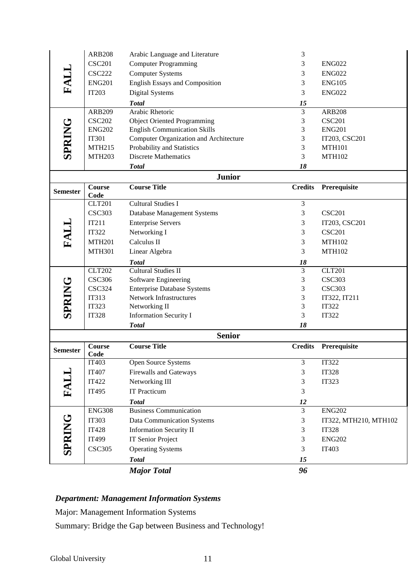|                 | <b>ARB208</b>          | Arabic Language and Literature                           | 3                   |                                       |
|-----------------|------------------------|----------------------------------------------------------|---------------------|---------------------------------------|
|                 | <b>CSC201</b>          | <b>Computer Programming</b>                              | 3                   | <b>ENG022</b>                         |
| FALL            | <b>CSC222</b>          | <b>Computer Systems</b>                                  | 3                   | <b>ENG022</b>                         |
|                 | <b>ENG201</b>          | <b>English Essays and Composition</b>                    | 3                   | <b>ENG105</b>                         |
|                 | <b>IT203</b>           | <b>Digital Systems</b>                                   | 3                   | <b>ENG022</b>                         |
|                 |                        | <b>Total</b>                                             | 15                  |                                       |
|                 | <b>ARB209</b>          | Arabic Rhetoric                                          | $\overline{3}$      | <b>ARB208</b>                         |
|                 | <b>CSC202</b>          | <b>Object Oriented Programming</b>                       | $\mathfrak{Z}$      | <b>CSC201</b>                         |
|                 | <b>ENG202</b>          | <b>English Communication Skills</b>                      | 3                   | <b>ENG201</b>                         |
| SPRING          | <b>IT301</b>           | <b>Computer Organization and Architecture</b>            | 3                   | IT203, CSC201                         |
|                 | <b>MTH215</b>          | Probability and Statistics                               | 3                   | <b>MTH101</b>                         |
|                 | <b>MTH203</b>          | <b>Discrete Mathematics</b>                              | 3                   | <b>MTH102</b>                         |
|                 |                        | <b>Total</b>                                             | 18                  |                                       |
|                 |                        | <b>Junior</b>                                            |                     |                                       |
| <b>Semester</b> | <b>Course</b>          | <b>Course Title</b>                                      | <b>Credits</b>      | Prerequisite                          |
|                 | Code                   |                                                          |                     |                                       |
|                 | <b>CLT201</b>          | <b>Cultural Studies I</b>                                | $\overline{3}$      |                                       |
|                 | <b>CSC303</b>          | Database Management Systems                              | $\mathfrak{Z}$      | <b>CSC201</b>                         |
| FALL            | IT211                  | <b>Enterprise Servers</b>                                | 3                   | IT203, CSC201                         |
|                 | <b>IT322</b>           | Networking I                                             | 3                   | <b>CSC201</b>                         |
|                 | <b>MTH201</b>          | Calculus II                                              | $\mathfrak{Z}$      | <b>MTH102</b>                         |
|                 | <b>MTH301</b>          | Linear Algebra                                           | 3                   | <b>MTH102</b>                         |
|                 |                        | <b>Total</b>                                             | 18                  |                                       |
|                 | <b>CLT202</b>          | <b>Cultural Studies II</b>                               | 3                   | <b>CLT201</b>                         |
|                 | <b>CSC306</b>          | Software Engineering                                     | $\mathfrak{Z}$      | <b>CSC303</b>                         |
| SPRING          | <b>CSC324</b>          | <b>Enterprise Database Systems</b>                       | $\mathfrak{Z}$      | <b>CSC303</b>                         |
|                 | <b>IT313</b>           | Network Infrastructures                                  | 3                   | IT322, IT211                          |
|                 | <b>IT323</b>           | Networking II                                            | 3                   | <b>IT322</b>                          |
|                 | <b>IT328</b>           | <b>Information Security I</b>                            | 3                   | <b>IT322</b>                          |
|                 |                        | <b>Total</b>                                             | 18                  |                                       |
|                 |                        |                                                          |                     |                                       |
|                 |                        | <b>Senior</b>                                            |                     |                                       |
| <b>Semester</b> | <b>Course</b>          | <b>Course Title</b>                                      | <b>Credits</b>      | Prerequisite                          |
|                 | Code                   |                                                          |                     |                                       |
|                 | IT403                  | Open Source Systems                                      | $\mathfrak{Z}$<br>3 | IT322                                 |
|                 | IT407                  | <b>Firewalls and Gateways</b>                            | 3                   | <b>IT328</b>                          |
|                 | <b>IT422</b>           | Networking III                                           | 3                   | <b>IT323</b>                          |
| FALL            | IT495                  | <b>IT Practicum</b>                                      |                     |                                       |
|                 | <b>ENG308</b>          | <b>Total</b><br><b>Business Communication</b>            | 12<br>3             | <b>ENG202</b>                         |
|                 | <b>IT303</b>           |                                                          | 3                   |                                       |
|                 | <b>IT428</b>           | Data Communication Systems                               | $\mathfrak{Z}$      | IT322, MTH210, MTH102<br><b>IT328</b> |
|                 |                        | <b>Information Security II</b>                           | 3                   |                                       |
|                 | IT499<br><b>CSC305</b> | <b>IT Senior Project</b>                                 | 3                   | <b>ENG202</b><br>IT403                |
| <b>SPRING</b>   |                        | <b>Operating Systems</b>                                 |                     |                                       |
|                 |                        | <b>Total</b>                                             | 15                  |                                       |
|                 |                        | <b>Major Total</b>                                       | 96                  |                                       |
|                 |                        |                                                          |                     |                                       |
|                 |                        | <b>Department: Management Information Systems</b>        |                     |                                       |
|                 |                        | Major: Management Information Systems                    |                     |                                       |
|                 |                        | Summary: Bridge the Gap between Business and Technology! |                     |                                       |
|                 |                        |                                                          |                     |                                       |

# *Department: Management Information Systems*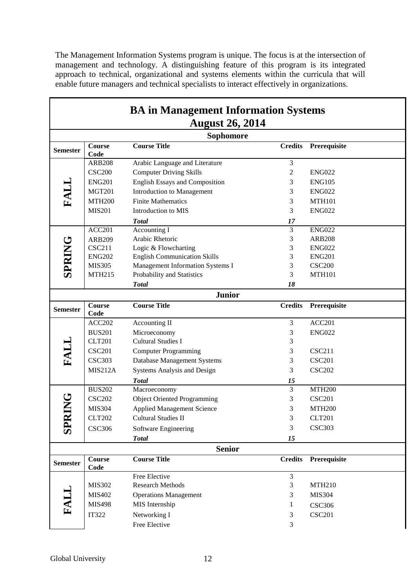The Management Information Systems program is unique. The focus is at the intersection of management and technology. A distinguishing feature of this program is its integrated approach to technical, organizational and systems elements within the curricula that will enable future managers and technical specialists to interact effectively in organizations.

|                 |                       | <b>BA</b> in Management Information Systems<br><b>August 26, 2014</b> |                |                    |
|-----------------|-----------------------|-----------------------------------------------------------------------|----------------|--------------------|
|                 |                       | Sophomore                                                             |                |                    |
| <b>Semester</b> | Course<br>Code        | <b>Course Title</b>                                                   | <b>Credits</b> | Prerequisite       |
|                 | <b>ARB208</b>         | Arabic Language and Literature                                        | 3              |                    |
|                 | <b>CSC200</b>         | <b>Computer Driving Skills</b>                                        | $\sqrt{2}$     | <b>ENG022</b>      |
|                 | <b>ENG201</b>         | English Essays and Composition                                        | 3              | <b>ENG105</b>      |
| FALL            | <b>MGT201</b>         | Introduction to Management                                            | 3              | <b>ENG022</b>      |
|                 | <b>MTH200</b>         | <b>Finite Mathematics</b>                                             | 3              | <b>MTH101</b>      |
|                 | <b>MIS201</b>         | Introduction to MIS                                                   | 3              | <b>ENG022</b>      |
|                 |                       | <b>Total</b>                                                          | 17             |                    |
|                 | <b>ACC201</b>         | <b>Accounting I</b>                                                   | $\overline{3}$ | <b>ENG022</b>      |
|                 | <b>ARB209</b>         | Arabic Rhetoric                                                       | 3              | <b>ARB208</b>      |
| <b>SPRING</b>   | <b>CSC211</b>         | Logic & Flowcharting                                                  | 3              | <b>ENG022</b>      |
|                 | <b>ENG202</b>         | <b>English Communication Skills</b>                                   | 3              | <b>ENG201</b>      |
|                 | <b>MIS305</b>         | Management Information Systems I                                      | 3              | <b>CSC200</b>      |
|                 | <b>MTH215</b>         | Probability and Statistics                                            | 3              | <b>MTH101</b>      |
|                 |                       | <b>Total</b>                                                          | 18             |                    |
|                 |                       | <b>Junior</b>                                                         |                |                    |
| <b>Semester</b> | <b>Course</b><br>Code | <b>Course Title</b>                                                   | <b>Credits</b> | Prerequisite       |
|                 | <b>ACC202</b>         | Accounting II                                                         | $\overline{3}$ | ACC201             |
|                 | <b>BUS201</b>         | Microeconomy                                                          | 3              | <b>ENG022</b>      |
|                 | <b>CLT201</b>         | <b>Cultural Studies I</b>                                             | 3              |                    |
| FALL            | <b>CSC201</b>         | <b>Computer Programming</b>                                           | 3              | <b>CSC211</b>      |
|                 | <b>CSC303</b>         | Database Management Systems                                           | 3              | <b>CSC201</b>      |
|                 | MIS212A               | Systems Analysis and Design                                           | 3              | <b>CSC202</b>      |
|                 |                       | <b>Total</b>                                                          | 15             |                    |
|                 | <b>BUS202</b>         | Macroeconomy                                                          | $\overline{3}$ | <b>MTH200</b>      |
| ↺               | <b>CSC202</b>         | <b>Object Oriented Programming</b>                                    | 3              | <b>CSC201</b>      |
|                 | <b>MIS304</b>         | <b>Applied Management Science</b>                                     | 3              | MTH <sub>200</sub> |
|                 | <b>CLT202</b>         | <b>Cultural Studies II</b>                                            | 3              | <b>CLT201</b>      |
| SPRIN           | <b>CSC306</b>         | Software Engineering                                                  | $\mathfrak{Z}$ | <b>CSC303</b>      |
|                 |                       | <b>Total</b>                                                          | 15             |                    |
|                 |                       | <b>Senior</b>                                                         |                |                    |
| <b>Semester</b> | Course<br>Code        | <b>Course Title</b>                                                   | <b>Credits</b> | Prerequisite       |
|                 |                       | Free Elective                                                         | 3              |                    |
|                 | MIS302                | <b>Research Methods</b>                                               | 3              | <b>MTH210</b>      |
|                 | MIS402                | <b>Operations Management</b>                                          | 3              | <b>MIS304</b>      |
| FALI            | <b>MIS498</b>         | MIS Internship                                                        | 1              | <b>CSC306</b>      |
|                 | <b>IT322</b>          | Networking I                                                          | 3              | <b>CSC201</b>      |
|                 |                       | Free Elective                                                         | $\mathfrak{Z}$ |                    |
|                 |                       |                                                                       |                |                    |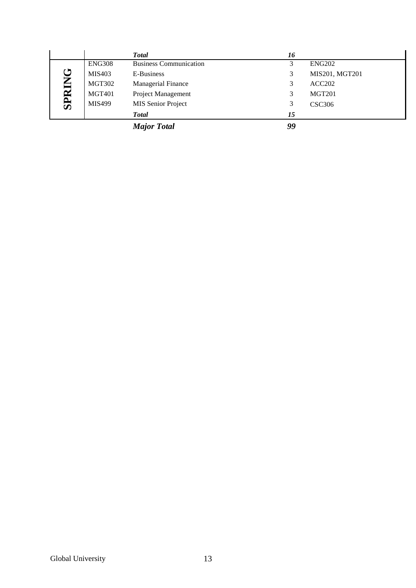|             |               | <b>Total</b>                  | 16 |                |
|-------------|---------------|-------------------------------|----|----------------|
|             | <b>ENG308</b> | <b>Business Communication</b> |    | <b>ENG202</b>  |
|             | <b>MIS403</b> | E-Business                    |    | MIS201, MGT201 |
| U<br>K      | <b>MGT302</b> | <b>Managerial Finance</b>     |    | ACC202         |
|             | <b>MGT401</b> | Project Management            |    | <b>MGT201</b>  |
| <b>SPRI</b> | <b>MIS499</b> | MIS Senior Project            |    | <b>CSC306</b>  |
|             |               | <b>Total</b>                  | 15 |                |
|             |               | <b>Major Total</b>            | 99 |                |

Global University 13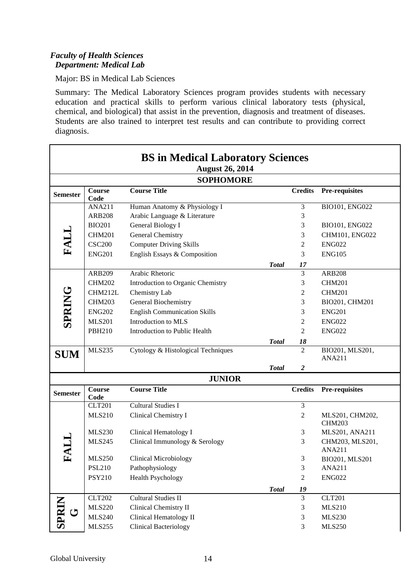# *Faculty of Health Sciences Department: Medical Lab*

Major: BS in Medical Lab Sciences

Summary: The Medical Laboratory Sciences program provides students with necessary education and practical skills to perform various clinical laboratory tests (physical, chemical, and biological) that assist in the prevention, diagnosis and treatment of diseases. Students are also trained to interpret test results and can contribute to providing correct diagnosis.

|                 |                       | <b>BS in Medical Laboratory Sciences</b><br><b>August 26, 2014</b> |              |                |                                  |
|-----------------|-----------------------|--------------------------------------------------------------------|--------------|----------------|----------------------------------|
|                 |                       | <b>SOPHOMORE</b>                                                   |              |                |                                  |
| <b>Semester</b> | <b>Course</b><br>Code | <b>Course Title</b>                                                |              | <b>Credits</b> | Pre-requisites                   |
|                 | <b>ANA211</b>         | Human Anatomy & Physiology I                                       |              | $\mathfrak{Z}$ | BIO101, ENG022                   |
|                 | <b>ARB208</b>         | Arabic Language & Literature                                       |              | 3              |                                  |
|                 | <b>BIO201</b>         | General Biology I                                                  |              | 3              | BIO101, ENG022                   |
| FALL            | <b>CHM201</b>         | General Chemistry                                                  |              | 3              | CHM101, ENG022                   |
|                 | <b>CSC200</b>         | <b>Computer Driving Skills</b>                                     |              | 2              | <b>ENG022</b>                    |
|                 | <b>ENG201</b>         | English Essays & Composition                                       |              | 3              | <b>ENG105</b>                    |
|                 |                       |                                                                    | <b>Total</b> | 17             |                                  |
|                 | <b>ARB209</b>         | Arabic Rhetoric                                                    |              | 3              | <b>ARB208</b>                    |
|                 | <b>CHM202</b>         | Introduction to Organic Chemistry                                  |              | 3              | <b>CHM201</b>                    |
| <b>SPRING</b>   | CHM212L               | Chemistry Lab                                                      |              | 2              | <b>CHM201</b>                    |
|                 | <b>CHM203</b>         | General Biochemistry                                               |              | 3              | BIO201, CHM201                   |
|                 | <b>ENG202</b>         | <b>English Communication Skills</b>                                |              | 3              | <b>ENG201</b>                    |
|                 | <b>MLS201</b>         | Introduction to MLS                                                |              | 2              | <b>ENG022</b>                    |
|                 | <b>PBH210</b>         | Introduction to Public Health                                      |              | 2              | <b>ENG022</b>                    |
|                 |                       |                                                                    | <b>Total</b> | 18             |                                  |
| <b>SUM</b>      | <b>MLS235</b>         | Cytology & Histological Techniques                                 |              | $\overline{2}$ | BIO201, MLS201,                  |
|                 |                       |                                                                    |              |                | <b>ANA211</b>                    |
|                 |                       |                                                                    | <b>Total</b> | 2              |                                  |
|                 |                       | <b>JUNIOR</b>                                                      |              |                |                                  |
| <b>Semester</b> | Course<br>Code        | <b>Course Title</b>                                                |              | <b>Credits</b> | Pre-requisites                   |
|                 | <b>CLT201</b>         | <b>Cultural Studies I</b>                                          |              | 3              |                                  |
|                 | <b>MLS210</b>         | Clinical Chemistry I                                               |              | 2              | MLS201, CHM202,<br><b>CHM203</b> |
|                 | <b>MLS230</b>         | Clinical Hematology I                                              |              | 3              | MLS201, ANA211                   |
| FALI            | <b>MLS245</b>         | Clinical Immunology & Serology                                     |              | 3              | CHM203, MLS201,<br><b>ANA211</b> |
|                 | <b>MLS250</b>         | <b>Clinical Microbiology</b>                                       |              | 3              | BIO201, MLS201                   |
|                 | <b>PSL210</b>         | Pathophysiology                                                    |              | 3              | <b>ANA211</b>                    |
|                 | <b>PSY210</b>         | <b>Health Psychology</b>                                           |              | $\sqrt{2}$     | <b>ENG022</b>                    |
|                 |                       |                                                                    | <b>Total</b> | 19             |                                  |
|                 | <b>CLT202</b>         | <b>Cultural Studies II</b>                                         |              | $\mathfrak{Z}$ | <b>CLT201</b>                    |
| SPRIN           | <b>MLS220</b>         | Clinical Chemistry II                                              |              | 3              | <b>MLS210</b>                    |
| じ               | <b>MLS240</b>         | <b>Clinical Hematology II</b>                                      |              | 3              | <b>MLS230</b>                    |
|                 | <b>MLS255</b>         | <b>Clinical Bacteriology</b>                                       |              | $\mathfrak{Z}$ | <b>MLS250</b>                    |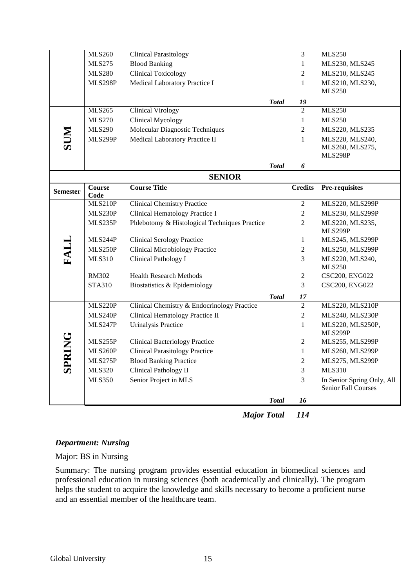|                 | <b>MLS260</b>  | <b>Clinical Parasitology</b>                  |              | 3              | <b>MLS250</b>                                     |
|-----------------|----------------|-----------------------------------------------|--------------|----------------|---------------------------------------------------|
|                 | <b>MLS275</b>  | <b>Blood Banking</b>                          |              | $\mathbf{1}$   | MLS230, MLS245                                    |
|                 | <b>MLS280</b>  | <b>Clinical Toxicology</b>                    |              | $\overline{2}$ | MLS210, MLS245                                    |
|                 | MLS298P        | Medical Laboratory Practice I                 |              | $\mathbf{1}$   | MLS210, MLS230,                                   |
|                 |                |                                               |              |                | <b>MLS250</b>                                     |
|                 |                |                                               | <b>Total</b> | 19             |                                                   |
|                 | <b>MLS265</b>  | <b>Clinical Virology</b>                      |              | $\overline{2}$ | <b>MLS250</b>                                     |
|                 | <b>MLS270</b>  | <b>Clinical Mycology</b>                      |              | 1              | <b>MLS250</b>                                     |
| <b>NUS</b>      | <b>MLS290</b>  | Molecular Diagnostic Techniques               |              | $\mathbf{2}$   | MLS220, MLS235                                    |
|                 | MLS299P        | Medical Laboratory Practice II                |              | 1              | MLS220, MLS240,                                   |
|                 |                |                                               |              |                | MLS260, MLS275,                                   |
|                 |                |                                               |              |                | MLS298P                                           |
|                 |                |                                               | <b>Total</b> | 6              |                                                   |
|                 |                | <b>SENIOR</b>                                 |              |                |                                                   |
| <b>Semester</b> | Course<br>Code | <b>Course Title</b>                           |              | <b>Credits</b> | <b>Pre-requisites</b>                             |
|                 | MLS210P        | <b>Clinical Chemistry Practice</b>            |              | $\overline{2}$ | MLS220, MLS299P                                   |
|                 | MLS230P        | Clinical Hematology Practice I                |              | $\overline{c}$ | MLS230, MLS299P                                   |
|                 | MLS235P        | Phlebotomy & Histological Techniques Practice |              | $\overline{2}$ | MLS220, MLS235,                                   |
|                 |                |                                               |              |                | MLS299P                                           |
|                 | MLS244P        | <b>Clinical Serology Practice</b>             |              | $\mathbf{1}$   | MLS245, MLS299P                                   |
|                 | MLS250P        | <b>Clinical Microbiology Practice</b>         |              | $\overline{2}$ | MLS250, MLS299P                                   |
| FALL            | <b>MLS310</b>  | Clinical Pathology I                          |              | 3              | MLS220, MLS240,                                   |
|                 |                |                                               |              |                | <b>MLS250</b>                                     |
|                 | <b>RM302</b>   | <b>Health Research Methods</b>                |              | $\overline{2}$ | CSC200, ENG022                                    |
|                 | <b>STA310</b>  | Biostatistics & Epidemiology                  |              | 3              | CSC200, ENG022                                    |
|                 |                |                                               | <b>Total</b> | 17             |                                                   |
|                 | <b>MLS220P</b> | Clinical Chemistry & Endocrinology Practice   |              | $\overline{2}$ | MLS220, MLS210P                                   |
|                 | MLS240P        | Clinical Hematology Practice II               |              | $\overline{c}$ | MLS240, MLS230P                                   |
|                 | MLS247P        | <b>Urinalysis Practice</b>                    |              | $\mathbf{1}$   | MLS220, MLS250P,<br>MLS299P                       |
| <b>SPRING</b>   | MLS255P        | <b>Clinical Bacteriology Practice</b>         |              | 2              | MLS255, MLS299P                                   |
|                 | MLS260P        | <b>Clinical Parasitology Practice</b>         |              | $\mathbf{1}$   | MLS260, MLS299P                                   |
|                 | MLS275P        | <b>Blood Banking Practice</b>                 |              | 2              | MLS275, MLS299P                                   |
|                 | <b>MLS320</b>  | <b>Clinical Pathology II</b>                  |              | 3              | <b>MLS310</b>                                     |
|                 | <b>MLS350</b>  | Senior Project in MLS                         |              | 3              | In Senior Spring Only, All<br>Senior Fall Courses |
|                 |                |                                               | <b>Total</b> | 16             |                                                   |
|                 |                |                                               |              |                |                                                   |

*Major Total 114*

# *Department: Nursing*

Major: BS in Nursing

Summary: The nursing program provides essential education in biomedical sciences and professional education in nursing sciences (both academically and clinically). The program helps the student to acquire the knowledge and skills necessary to become a proficient nurse and an essential member of the healthcare team.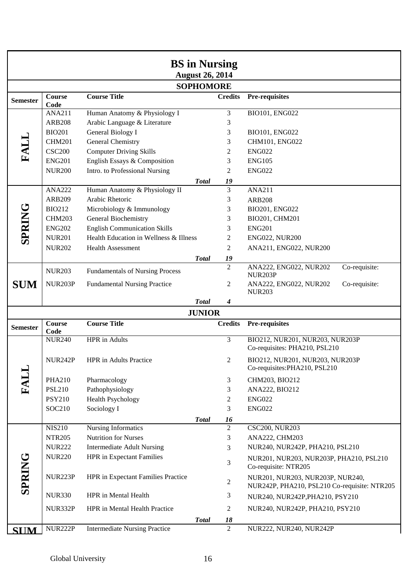|                 |                                |                                                                | <b>BS</b> in Nursing   |                      |                                                                                 |
|-----------------|--------------------------------|----------------------------------------------------------------|------------------------|----------------------|---------------------------------------------------------------------------------|
|                 |                                |                                                                | <b>August 26, 2014</b> |                      |                                                                                 |
|                 |                                |                                                                | <b>SOPHOMORE</b>       |                      |                                                                                 |
|                 | <b>Course</b>                  | <b>Course Title</b>                                            |                        | <b>Credits</b>       | Pre-requisites                                                                  |
| <b>Semester</b> | Code                           |                                                                |                        |                      |                                                                                 |
|                 | <b>ANA211</b>                  | Human Anatomy & Physiology I                                   |                        | 3                    | BIO101, ENG022                                                                  |
|                 | <b>ARB208</b>                  | Arabic Language & Literature                                   |                        | 3                    |                                                                                 |
|                 | <b>BIO201</b>                  | <b>General Biology I</b>                                       |                        | 3                    | BIO101, ENG022                                                                  |
| FALL            | <b>CHM201</b>                  | <b>General Chemistry</b>                                       |                        | 3                    | CHM101, ENG022                                                                  |
|                 | <b>CSC200</b>                  | <b>Computer Driving Skills</b>                                 |                        | 2                    | <b>ENG022</b>                                                                   |
|                 | <b>ENG201</b><br><b>NUR200</b> | English Essays & Composition<br>Intro. to Professional Nursing |                        | 3<br>2               | <b>ENG105</b><br><b>ENG022</b>                                                  |
|                 |                                |                                                                | <b>Total</b>           | 19                   |                                                                                 |
|                 | <b>ANA222</b>                  | Human Anatomy & Physiology II                                  |                        | 3                    | <b>ANA211</b>                                                                   |
|                 | <b>ARB209</b>                  | Arabic Rhetoric                                                |                        | 3                    | <b>ARB208</b>                                                                   |
|                 | <b>BIO212</b>                  | Microbiology & Immunology                                      |                        | 3                    | BIO201, ENG022                                                                  |
|                 | <b>CHM203</b>                  | General Biochemistry                                           |                        | 3                    | BIO201, CHM201                                                                  |
|                 | <b>ENG202</b>                  | <b>English Communication Skills</b>                            |                        | 3                    | <b>ENG201</b>                                                                   |
| <b>SPRING</b>   | <b>NUR201</b>                  | Health Education in Wellness & Illness                         |                        | 2                    | <b>ENG022, NUR200</b>                                                           |
|                 | <b>NUR202</b>                  | <b>Health Assessment</b>                                       |                        | 2                    | ANA211, ENG022, NUR200                                                          |
|                 |                                |                                                                | <b>Total</b>           | 19                   |                                                                                 |
|                 | <b>NUR203</b>                  | <b>Fundamentals of Nursing Process</b>                         |                        | $\overline{2}$       | ANA222, ENG022, NUR202<br>Co-requisite:                                         |
| <b>SUM</b>      | NUR203P                        | <b>Fundamental Nursing Practice</b>                            |                        | 2                    | <b>NUR203P</b><br>Co-requisite:<br>ANA222, ENG022, NUR202                       |
|                 |                                |                                                                |                        |                      | <b>NUR203</b>                                                                   |
|                 |                                |                                                                | <b>Total</b>           | 4                    |                                                                                 |
|                 |                                |                                                                | <b>JUNIOR</b>          |                      |                                                                                 |
| <b>Semester</b> | Course<br>Code                 | <b>Course Title</b>                                            |                        | <b>Credits</b>       | Pre-requisites                                                                  |
|                 | <b>NUR240</b>                  | HPR in Adults                                                  |                        | 3                    | BIO212, NUR201, NUR203, NUR203P                                                 |
|                 |                                |                                                                |                        |                      | Co-requisites: PHA210, PSL210                                                   |
|                 | <b>NUR242P</b>                 | <b>HPR</b> in Adults Practice                                  |                        | 2                    | BIO212, NUR201, NUR203, NUR203P<br>Co-requisites: PHA210, PSL210                |
| <b>FALL</b>     |                                |                                                                |                        |                      |                                                                                 |
|                 | <b>PHA210</b>                  | Pharmacology                                                   |                        | 3                    | CHM203, BIO212                                                                  |
|                 | <b>PSL210</b>                  | Pathophysiology                                                |                        | 3                    | ANA222, BIO212                                                                  |
|                 | <b>PSY210</b><br>SOC210        | <b>Health Psychology</b><br>Sociology I                        |                        | $\overline{2}$<br>3  | <b>ENG022</b><br><b>ENG022</b>                                                  |
|                 |                                |                                                                |                        |                      |                                                                                 |
|                 | <b>NIS210</b>                  | <b>Nursing Informatics</b>                                     | <b>Total</b>           | 16<br>$\overline{2}$ | <b>CSC200, NUR203</b>                                                           |
|                 | <b>NTR205</b>                  | <b>Nutrition for Nurses</b>                                    |                        | 3                    | ANA222, CHM203                                                                  |
|                 | <b>NUR222</b>                  | <b>Intermediate Adult Nursing</b>                              |                        | 3                    | NUR240, NUR242P, PHA210, PSL210                                                 |
|                 | <b>NUR220</b>                  | <b>HPR</b> in Expectant Families                               |                        |                      | NUR201, NUR203, NUR203P, PHA210, PSL210                                         |
|                 |                                |                                                                |                        | 3                    | Co-requisite: NTR205                                                            |
| <b>SPRING</b>   | NUR223P                        | HPR in Expectant Families Practice                             |                        | $\overline{c}$       | NUR201, NUR203, NUR203P, NUR240,                                                |
|                 | <b>NUR330</b>                  | HPR in Mental Health                                           |                        | 3                    | NUR242P, PHA210, PSL210 Co-requisite: NTR205<br>NUR240, NUR242P, PHA210, PSY210 |
|                 | NUR332P                        | HPR in Mental Health Practice                                  |                        | $\overline{c}$       | NUR240, NUR242P, PHA210, PSY210                                                 |
|                 |                                |                                                                | <b>Total</b>           | 18                   |                                                                                 |
| <b>SUM</b>      | <b>NUR222P</b>                 | <b>Intermediate Nursing Practice</b>                           |                        | $\overline{2}$       | NUR222, NUR240, NUR242P                                                         |
|                 |                                |                                                                |                        |                      |                                                                                 |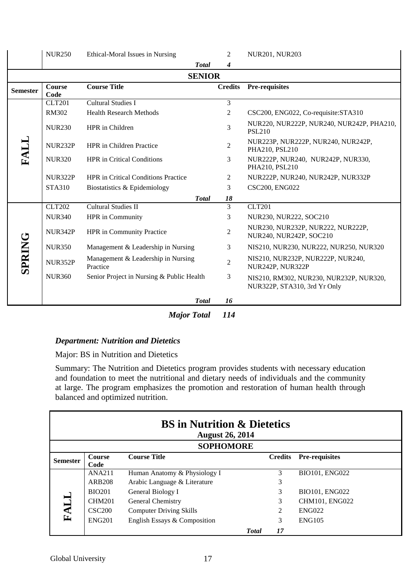|                 | <b>NUR250</b>         | Ethical-Moral Issues in Nursing                | $\overline{2}$  | <b>NUR201, NUR203</b>                                                   |
|-----------------|-----------------------|------------------------------------------------|-----------------|-------------------------------------------------------------------------|
|                 |                       | <b>Total</b>                                   | 4               |                                                                         |
|                 |                       | <b>SENIOR</b>                                  |                 |                                                                         |
| <b>Semester</b> | <b>Course</b><br>Code | <b>Course Title</b>                            | <b>Credits</b>  | <b>Pre-requisites</b>                                                   |
|                 | <b>CLT201</b>         | <b>Cultural Studies I</b>                      | 3               |                                                                         |
|                 | <b>RM302</b>          | <b>Health Research Methods</b>                 | $\overline{2}$  | CSC200, ENG022, Co-requisite: STA310                                    |
|                 | <b>NUR230</b>         | HPR in Children                                | 3               | NUR220, NUR222P, NUR240, NUR242P, PHA210,<br><b>PSL210</b>              |
| FALI            | NUR232P               | <b>HPR</b> in Children Practice                | $\overline{2}$  | NUR223P, NUR222P, NUR240, NUR242P,<br>PHA210, PSL210                    |
|                 | <b>NUR320</b>         | <b>HPR</b> in Critical Conditions              | 3               | NUR222P, NUR240, NUR242P, NUR330,<br>PHA210, PSL210                     |
|                 | <b>NUR322P</b>        | <b>HPR</b> in Critical Conditions Practice     | $\overline{c}$  | NUR222P, NUR240, NUR242P, NUR332P                                       |
|                 | <b>STA310</b>         | Biostatistics & Epidemiology                   | 3               | <b>CSC200, ENG022</b>                                                   |
|                 |                       | <b>Total</b>                                   | 18              |                                                                         |
|                 | <b>CLT202</b>         | <b>Cultural Studies II</b>                     | $\overline{3}$  | <b>CLT201</b>                                                           |
|                 | <b>NUR340</b>         | <b>HPR</b> in Community                        | 3               | NUR230, NUR222, SOC210                                                  |
|                 | NUR342P               | <b>HPR</b> in Community Practice               | $\overline{2}$  | NUR230, NUR232P, NUR222, NUR222P,<br>NUR240, NUR242P, SOC210            |
|                 | <b>NUR350</b>         | Management & Leadership in Nursing             | 3               | NIS210, NUR230, NUR222, NUR250, NUR320                                  |
| <b>SPRING</b>   | <b>NUR352P</b>        | Management & Leadership in Nursing<br>Practice | $\overline{2}$  | NIS210, NUR232P, NUR222P, NUR240,<br>NUR242P, NUR322P                   |
|                 | <b>NUR360</b>         | Senior Project in Nursing & Public Health      | 3               | NIS210, RM302, NUR230, NUR232P, NUR320,<br>NUR322P, STA310, 3rd Yr Only |
|                 |                       | <b>Total</b>                                   | 16              |                                                                         |
|                 |                       | <i>Maior Total</i>                             | 11 <sub>A</sub> |                                                                         |

*Major Total 114*

# *Department: Nutrition and Dietetics*

Major: BS in Nutrition and Dietetics

Summary: The Nutrition and Dietetics program provides students with necessary education and foundation to meet the nutritional and dietary needs of individuals and the community at large. The program emphasizes the promotion and restoration of human health through balanced and optimized nutrition.

|                 |               | <b>BS</b> in Nutrition & Dietetics<br><b>August 26, 2014</b> |               |                |                       |
|-----------------|---------------|--------------------------------------------------------------|---------------|----------------|-----------------------|
|                 |               | <b>SOPHOMORE</b>                                             |               |                |                       |
| <b>Semester</b> | <b>Course</b> | <b>Course Title</b>                                          |               | <b>Credits</b> | <b>Pre-requisites</b> |
|                 | Code          |                                                              |               |                |                       |
|                 | ANA211        | Human Anatomy & Physiology I                                 |               | 3              | BIO101, ENG022        |
|                 | ARB208        | Arabic Language & Literature                                 |               | 3              |                       |
|                 | <b>BIO201</b> | General Biology I                                            |               | 3              | BIO101, ENG022        |
|                 | <b>CHM201</b> | General Chemistry                                            |               | 3              | CHM101, ENG022        |
| FALI            | <b>CSC200</b> | <b>Computer Driving Skills</b>                               |               | $\mathcal{L}$  | <b>ENG022</b>         |
|                 | <b>ENG201</b> | English Essays & Composition                                 |               | 3              | <b>ENG105</b>         |
|                 |               |                                                              | <b>T</b> otal | 17             |                       |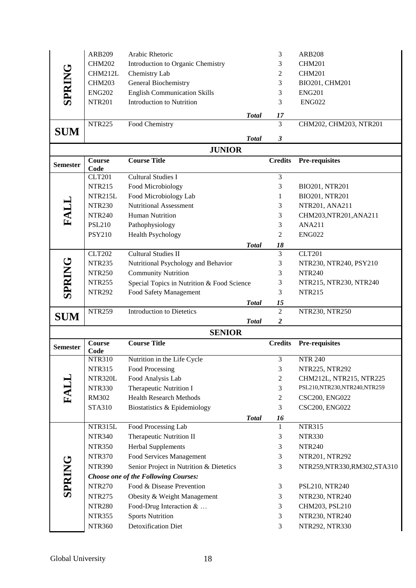|                 | <b>ARB209</b>         | Arabic Rhetoric                            |              | 3              | <b>ARB208</b>                 |
|-----------------|-----------------------|--------------------------------------------|--------------|----------------|-------------------------------|
|                 | <b>CHM202</b>         | Introduction to Organic Chemistry          |              | 3              | <b>CHM201</b>                 |
| <b>SPRING</b>   | CHM212L               | Chemistry Lab                              |              | $\overline{c}$ | <b>CHM201</b>                 |
|                 | <b>CHM203</b>         | General Biochemistry                       |              | 3              | BIO201, CHM201                |
|                 | <b>ENG202</b>         | <b>English Communication Skills</b>        |              | 3              | <b>ENG201</b>                 |
|                 | <b>NTR201</b>         | Introduction to Nutrition                  |              | 3              | <b>ENG022</b>                 |
|                 |                       |                                            | <b>Total</b> | 17             |                               |
|                 | <b>NTR225</b>         | Food Chemistry                             |              | $\overline{3}$ | CHM202, CHM203, NTR201        |
| <b>SUM</b>      |                       |                                            |              |                |                               |
|                 |                       | <b>JUNIOR</b>                              | <b>Total</b> | 3              |                               |
|                 | Course                | <b>Course Title</b>                        |              | <b>Credits</b> | Pre-requisites                |
| <b>Semester</b> | Code                  |                                            |              |                |                               |
|                 | <b>CLT201</b>         | <b>Cultural Studies I</b>                  |              | 3              |                               |
|                 | <b>NTR215</b>         | Food Microbiology                          |              | 3              | BIO201, NTR201                |
|                 | NTR215L               | Food Microbiology Lab                      |              | 1              | BIO201, NTR201                |
| FALL            | <b>NTR230</b>         | <b>Nutritional Assessment</b>              |              | 3              | NTR201, ANA211                |
|                 | <b>NTR240</b>         | <b>Human Nutrition</b>                     |              | 3              | CHM203, NTR201, ANA211        |
|                 | <b>PSL210</b>         | Pathophysiology                            |              | 3              | <b>ANA211</b>                 |
|                 | <b>PSY210</b>         | <b>Health Psychology</b>                   |              | 2              | <b>ENG022</b>                 |
|                 |                       |                                            | <b>Total</b> | 18             |                               |
|                 | <b>CLT202</b>         | <b>Cultural Studies II</b>                 |              | 3              | <b>CLT201</b>                 |
| <b>SPRING</b>   | <b>NTR235</b>         | Nutritional Psychology and Behavior        |              | 3              | NTR230, NTR240, PSY210        |
|                 | <b>NTR250</b>         | <b>Community Nutrition</b>                 |              | 3              | <b>NTR240</b>                 |
|                 | <b>NTR255</b>         | Special Topics in Nutrition & Food Science |              | 3              | NTR215, NTR230, NTR240        |
|                 | <b>NTR292</b>         | Food Safety Management                     |              | 3              | <b>NTR215</b>                 |
|                 |                       |                                            | <b>Total</b> | 15             |                               |
|                 |                       |                                            |              |                |                               |
| <b>SUM</b>      | <b>NTR259</b>         | <b>Introduction to Dietetics</b>           |              | $\overline{2}$ | NTR230, NTR250                |
|                 |                       |                                            | <b>Total</b> | 2              |                               |
|                 |                       | <b>SENIOR</b>                              |              |                |                               |
| <b>Semester</b> | <b>Course</b><br>Code | <b>Course Title</b>                        |              | <b>Credits</b> | <b>Pre-requisites</b>         |
|                 | <b>NTR310</b>         | Nutrition in the Life Cycle                |              | 3              | <b>NTR 240</b>                |
|                 | <b>NTR315</b>         | Food Processing                            |              | 3              | NTR225, NTR292                |
|                 | NTR320L               | Food Analysis Lab                          |              | $\mathbf{2}$   | CHM212L, NTR215, NTR225       |
|                 | <b>NTR330</b>         | Therapeutic Nutrition I                    |              | 3              | PSL210,NTR230,NTR240,NTR259   |
|                 | <b>RM302</b>          | <b>Health Research Methods</b>             |              | $\overline{c}$ | <b>CSC200, ENG022</b>         |
| FALL            | <b>STA310</b>         | Biostatistics & Epidemiology               |              | 3              | <b>CSC200, ENG022</b>         |
|                 |                       |                                            | <b>Total</b> | 16             |                               |
|                 | NTR315L               | Food Processing Lab                        |              | 1              | <b>NTR315</b>                 |
|                 | <b>NTR340</b>         | Therapeutic Nutrition II                   |              | 3              | <b>NTR330</b>                 |
|                 | <b>NTR350</b>         | <b>Herbal Supplements</b>                  |              | 3              | <b>NTR240</b>                 |
|                 | <b>NTR370</b>         | Food Services Management                   |              | 3              | NTR201, NTR292                |
|                 | <b>NTR390</b>         | Senior Project in Nutrition & Dietetics    |              | 3              | NTR259, NTR330, RM302, STA310 |
|                 |                       | Choose one of the Following Courses:       |              |                |                               |
|                 | <b>NTR270</b>         | Food & Disease Prevention                  |              | 3              | PSL210, NTR240                |
| <b>SPRING</b>   | <b>NTR275</b>         | Obesity & Weight Management                |              | 3              | NTR230, NTR240                |
|                 | <b>NTR280</b>         | Food-Drug Interaction $& \dots$            |              | 3              | CHM203, PSL210                |
|                 | <b>NTR355</b>         | <b>Sports Nutrition</b>                    |              | 3              | NTR230, NTR240                |
|                 | <b>NTR360</b>         | <b>Detoxification Diet</b>                 |              | 3              | NTR292, NTR330                |
|                 |                       |                                            |              |                |                               |
|                 |                       |                                            |              |                |                               |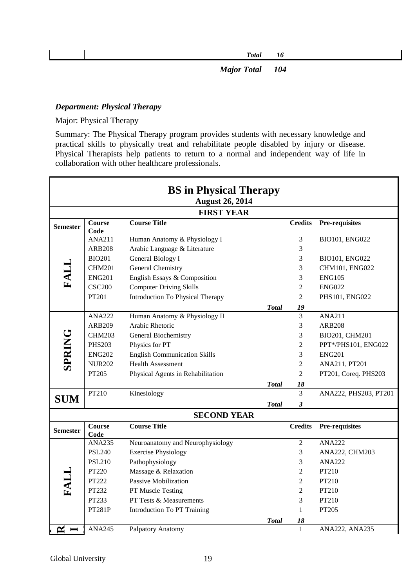| Total | 16 |
|-------|----|
|       |    |
|       |    |

*Major Total 104*

### *Department: Physical Therapy*

Major: Physical Therapy

Summary: The Physical Therapy program provides students with necessary knowledge and practical skills to physically treat and rehabilitate people disabled by injury or disease. Physical Therapists help patients to return to a normal and independent way of life in collaboration with other healthcare professionals.

|                 |                       | <b>BS</b> in Physical Therapy               |              |                |                       |
|-----------------|-----------------------|---------------------------------------------|--------------|----------------|-----------------------|
|                 |                       | <b>August 26, 2014</b><br><b>FIRST YEAR</b> |              |                |                       |
| <b>Semester</b> | <b>Course</b><br>Code | <b>Course Title</b>                         |              | <b>Credits</b> | Pre-requisites        |
|                 | <b>ANA211</b>         | Human Anatomy & Physiology I                |              | $\overline{3}$ | <b>BIO101, ENG022</b> |
|                 | <b>ARB208</b>         | Arabic Language & Literature                |              | 3              |                       |
|                 | <b>BIO201</b>         | General Biology I                           |              | 3              | BIO101, ENG022        |
| FALL            | <b>CHM201</b>         | General Chemistry                           |              | 3              | CHM101, ENG022        |
|                 | <b>ENG201</b>         | English Essays & Composition                |              | 3              | ENG105                |
|                 | <b>CSC200</b>         | <b>Computer Driving Skills</b>              |              | $\overline{2}$ | <b>ENG022</b>         |
|                 | PT201                 | <b>Introduction To Physical Therapy</b>     |              | $\overline{2}$ | PHS101, ENG022        |
|                 |                       |                                             | <b>Total</b> | 19             |                       |
|                 | <b>ANA222</b>         | Human Anatomy & Physiology II               |              | 3              | ANA211                |
|                 | <b>ARB209</b>         | Arabic Rhetoric                             |              | 3              | <b>ARB208</b>         |
|                 | <b>CHM203</b>         | General Biochemistry                        |              | 3              | BIO201, CHM201        |
| <b>SPRING</b>   | <b>PHS203</b>         | Physics for PT                              |              | $\overline{2}$ | PPT*/PHS101, ENG022   |
|                 | <b>ENG202</b>         | <b>English Communication Skills</b>         |              | 3              | <b>ENG201</b>         |
|                 | <b>NUR202</b>         | <b>Health Assessment</b>                    |              | $\overline{2}$ | ANA211, PT201         |
|                 | PT205                 | Physical Agents in Rehabilitation           |              | $\overline{2}$ | PT201, Coreq. PHS203  |
|                 |                       |                                             | <b>Total</b> | 18             |                       |
|                 | PT210                 | Kinesiology                                 |              | $\overline{3}$ | ANA222, PHS203, PT201 |
| <b>SUM</b>      |                       |                                             | <b>Total</b> | 3              |                       |
|                 |                       | <b>SECOND YEAR</b>                          |              |                |                       |
| <b>Semester</b> | <b>Course</b><br>Code | <b>Course Title</b>                         |              | <b>Credits</b> | Pre-requisites        |
|                 | <b>ANA235</b>         | Neuroanatomy and Neurophysiology            |              | $\overline{2}$ | <b>ANA222</b>         |
|                 | <b>PSL240</b>         | <b>Exercise Physiology</b>                  |              | 3              | ANA222, CHM203        |
|                 | <b>PSL210</b>         | Pathophysiology                             |              | 3              | <b>ANA222</b>         |
|                 | PT220                 | Massage & Relaxation                        |              | $\overline{2}$ | PT210                 |
| FALL            | PT222                 | Passive Mobilization                        |              | $\overline{2}$ | PT210                 |
|                 | PT232                 | PT Muscle Testing                           |              | $\overline{2}$ | PT210                 |
|                 | PT233                 | PT Tests & Measurements                     |              | 3              | PT210                 |
|                 | <b>PT281P</b>         | <b>Introduction To PT Training</b>          |              | $\mathbf{1}$   | PT205                 |
|                 |                       |                                             | <b>Total</b> | 18             |                       |
| $\approx$ $-$   | <b>ANA245</b>         | Palpatory Anatomy                           |              | $\mathbf{1}$   | ANA222, ANA235        |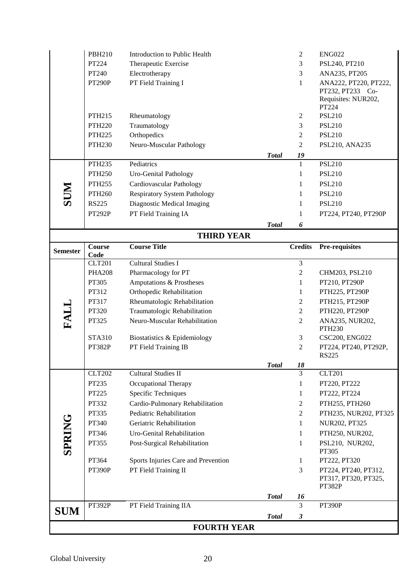|                 | <b>PBH210</b>      | Introduction to Public Health                                |              | $\overline{2}$       | <b>ENG022</b>                    |
|-----------------|--------------------|--------------------------------------------------------------|--------------|----------------------|----------------------------------|
|                 | PT224              | Therapeutic Exercise                                         |              | 3                    | PSL240, PT210                    |
|                 | PT240              | Electrotherapy                                               |              | 3                    | ANA235, PT205                    |
|                 | <b>PT290P</b>      | PT Field Training I                                          |              | $\mathbf{1}$         | ANA222, PT220, PT222,            |
|                 |                    |                                                              |              |                      | PT232, PT233 Co-                 |
|                 |                    |                                                              |              |                      | Requisites: NUR202,<br>PT224     |
|                 | PTH215             | Rheumatology                                                 |              | $\overline{2}$       | <b>PSL210</b>                    |
|                 | <b>PTH220</b>      | Traumatology                                                 |              | 3                    | <b>PSL210</b>                    |
|                 | <b>PTH225</b>      | Orthopedics                                                  |              | $\mathfrak{2}$       | <b>PSL210</b>                    |
|                 | <b>PTH230</b>      | Neuro-Muscular Pathology                                     |              | 2                    | PSL210, ANA235                   |
|                 |                    |                                                              | <b>Total</b> | 19                   |                                  |
|                 | <b>PTH235</b>      | Pediatrics                                                   |              | $\mathbf{1}$         | <b>PSL210</b>                    |
|                 | <b>PTH250</b>      | Uro-Genital Pathology                                        |              | 1                    | <b>PSL210</b>                    |
|                 | <b>PTH255</b>      | Cardiovascular Pathology                                     |              | 1                    | <b>PSL210</b>                    |
| <b>NUS</b>      | PTH <sub>260</sub> | <b>Respiratory System Pathology</b>                          |              | 1                    | <b>PSL210</b>                    |
|                 | <b>RS225</b>       | Diagnostic Medical Imaging                                   |              | 1                    | <b>PSL210</b>                    |
|                 | PT292P             | PT Field Training IA                                         |              | 1                    | PT224, PT240, PT290P             |
|                 |                    |                                                              | <b>Total</b> | 6                    |                                  |
|                 |                    | <b>THIRD YEAR</b>                                            |              |                      |                                  |
| <b>Semester</b> | <b>Course</b>      | <b>Course Title</b>                                          |              | <b>Credits</b>       | Pre-requisites                   |
|                 | Code               |                                                              |              |                      |                                  |
|                 | <b>CLT201</b>      | Cultural Studies I                                           |              | $\mathfrak{Z}$       |                                  |
|                 | <b>PHA208</b>      | Pharmacology for PT                                          |              | 2                    | CHM203, PSL210                   |
|                 | PT305              | Amputations & Prostheses                                     |              | $\mathbf{1}$         | PT210, PT290P                    |
|                 | PT312              | Orthopedic Rehabilitation                                    |              | 1                    | PTH225, PT290P                   |
|                 | PT317<br>PT320     | Rheumatologic Rehabilitation<br>Traumatologic Rehabilitation |              | 2<br>$\overline{2}$  | PTH215, PT290P<br>PTH220, PT290P |
| FALL            | PT325              | Neuro-Muscular Rehabilitation                                |              | 2                    | ANA235, NUR202,                  |
|                 |                    |                                                              |              |                      | <b>PTH230</b>                    |
|                 | <b>STA310</b>      | Biostatistics & Epidemiology                                 |              | 3                    | <b>CSC200, ENG022</b>            |
|                 | PT382P             | PT Field Training IB                                         |              | 2                    | PT224, PT240, PT292P,            |
|                 |                    |                                                              | <b>Total</b> | 18                   | <b>RS225</b>                     |
|                 | <b>CLT202</b>      | Cultural Studies II                                          |              | 3                    | <b>CLT201</b>                    |
|                 |                    |                                                              |              |                      |                                  |
|                 |                    |                                                              |              | 1                    |                                  |
|                 | PT235              | Occupational Therapy                                         |              | 1                    | PT220, PT222                     |
|                 | PT225              | Specific Techniques                                          |              | 2                    | PT222, PT224                     |
|                 | PT332              | Cardio-Pulmonary Rehabilitation                              |              |                      | PTH255, PTH260                   |
|                 | PT335              | Pediatric Rehabilitation<br>Geriatric Rehabilitation         |              | 2<br>1               | PTH235, NUR202, PT325            |
|                 | PT340              |                                                              |              | $\mathbf{1}$         | NUR202, PT325                    |
|                 | PT346              | Uro-Genital Rehabilitation                                   |              | 1                    | PTH250, NUR202,                  |
| <b>SPRING</b>   | PT355              | Post-Surgical Rehabilitation                                 |              |                      | PSL210, NUR202,<br>PT305         |
|                 | PT364              | Sports Injuries Care and Prevention                          |              | 1                    | PT222, PT320                     |
|                 | PT390P             | PT Field Training II                                         |              | 3                    | PT224, PT240, PT312,             |
|                 |                    |                                                              |              |                      | PT317, PT320, PT325,             |
|                 |                    |                                                              | <b>Total</b> | 16                   | <b>PT382P</b>                    |
|                 | PT392P             | PT Field Training IIA                                        |              | 3                    | PT390P                           |
| <b>SUM</b>      |                    |                                                              | <b>Total</b> | $\boldsymbol{\beta}$ |                                  |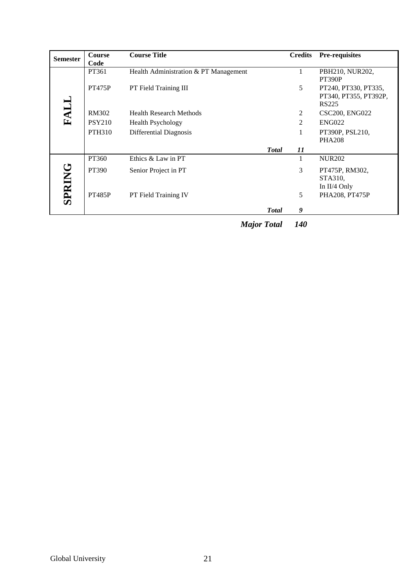| <b>Semester</b> | <b>Course</b><br>Code | <b>Course Title</b>                   |               | <b>Credits</b> | Pre-requisites                                         |
|-----------------|-----------------------|---------------------------------------|---------------|----------------|--------------------------------------------------------|
|                 | PT361                 | Health Administration & PT Management |               |                | PBH210, NUR202,<br>PT390P                              |
|                 | <b>PT475P</b>         | PT Field Training III                 |               | 5              | PT240, PT330, PT335,<br>PT340, PT355, PT392P,<br>RS225 |
| FALI            | RM302                 | <b>Health Research Methods</b>        |               | 2              | <b>CSC200, ENG022</b>                                  |
|                 | <b>PSY210</b>         | <b>Health Psychology</b>              |               | 2              | <b>ENG022</b>                                          |
|                 | <b>PTH310</b>         | Differential Diagnosis                |               |                | PT390P, PSL210,                                        |
|                 |                       |                                       |               |                | <b>PHA208</b>                                          |
|                 |                       |                                       | <b>Total</b>  | 11             |                                                        |
|                 | PT360                 | Ethics & Law in PT                    |               |                | <b>NUR202</b>                                          |
| <b>SPRING</b>   | PT390                 | Senior Project in PT                  |               | 3              | PT475P, RM302,                                         |
|                 |                       |                                       |               |                | STA310,                                                |
|                 |                       |                                       |               |                | In II/4 Only                                           |
|                 | <b>PT485P</b>         | PT Field Training IV                  |               | 5              | PHA208, PT475P                                         |
|                 |                       |                                       | <b>T</b> otal | 9              |                                                        |

*Major Total 140*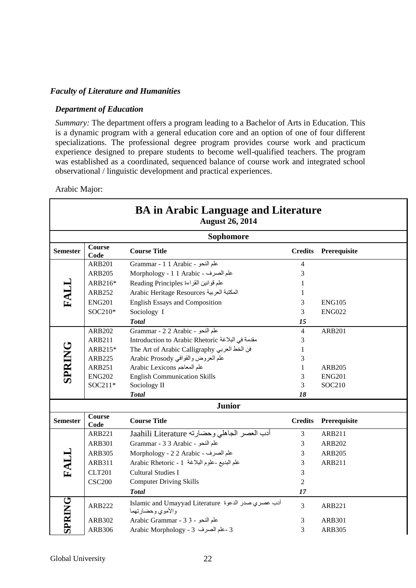#### *Faculty of Literature and Humanities*

#### *Department of Education*

*Summary:* The department offers a program leading to a Bachelor of Arts in Education. This is a dynamic program with a general education core and an option of one of four different specializations. The professional degree program provides course work and practicum experience designed to prepare students to become well-qualified teachers. The program was established as a coordinated, sequenced balance of course work and integrated school observational / linguistic development and practical experiences.

#### Arabic Major:

Г

|                 |                       | <b>BA</b> in Arabic Language and Literature<br><b>August 26, 2014</b>   |                |               |
|-----------------|-----------------------|-------------------------------------------------------------------------|----------------|---------------|
|                 |                       | <b>Sophomore</b>                                                        |                |               |
| <b>Semester</b> | Course<br>Code        | <b>Course Title</b>                                                     | <b>Credits</b> | Prerequisite  |
|                 | <b>ARB201</b>         | Grammar - 1 1 Arabic - علم النحو                                        | 4              |               |
|                 | <b>ARB205</b>         | Morphology - 1 1 Arabic - علم الصرف                                     | 3              |               |
| FALL            | ARB216*               | علم قوانين القراءة Reading Principles                                   | 1              |               |
|                 | <b>ARB252</b>         | Arabic Heritage Resources المكتبة العربية                               | 1              |               |
|                 | <b>ENG201</b>         | <b>English Essays and Composition</b>                                   | 3              | <b>ENG105</b> |
|                 | SOC210*               | Sociology I                                                             | 3              | <b>ENG022</b> |
|                 |                       | <b>Total</b>                                                            | 15             |               |
|                 | <b>ARB202</b>         | Grammar - 2 2 Arabic - علم النحو                                        | $\overline{4}$ | <b>ARB201</b> |
|                 | <b>ARB211</b>         | Introduction to Arabic Rhetoric مقدمة في البلاغة                        | 3              |               |
|                 | ARB215*               | The Art of Arabic Calligraphy                                           | 1              |               |
| <b>SPRING</b>   | <b>ARB225</b>         | علم العروض والقوافي Arabic Prosody                                      | 3              |               |
|                 | <b>ARB251</b>         | Arabic Lexicons علم المعاجم                                             | $\mathbf{1}$   | <b>ARB205</b> |
|                 | <b>ENG202</b>         | <b>English Communication Skills</b>                                     | 3              | <b>ENG201</b> |
|                 | SOC211*               | Sociology II                                                            | 3              | SOC210        |
|                 |                       | <b>Total</b>                                                            | 18             |               |
|                 |                       | <b>Junior</b>                                                           |                |               |
| <b>Semester</b> | <b>Course</b><br>Code | <b>Course Title</b>                                                     | <b>Credits</b> | Prerequisite  |
|                 | <b>ARB221</b>         | أدب العصر الجاهلي وحضارته Jaahili Literature                            | $\overline{3}$ | <b>ARB211</b> |
|                 | <b>ARB301</b>         | Grammar - 3 3 Arabic - علم النحو                                        | 3              | <b>ARB202</b> |
|                 | <b>ARB305</b>         | علم الصرف - Morphology - 2 2 Arabic                                     | 3              | <b>ARB205</b> |
| FALL            | ARB311                | علم البديع -علوم البلاغة Arabic Rhetoric - 1                            | 3              | ARB211        |
|                 | <b>CLT201</b>         | <b>Cultural Studies I</b>                                               | 3              |               |
|                 | <b>CSC200</b>         | <b>Computer Driving Skills</b>                                          | $\overline{c}$ |               |
|                 |                       | <b>Total</b>                                                            | 17             |               |
| <b>SPRING</b>   | <b>ARB222</b>         | أدب عصري صدر الدعوة Islamic and Umayyad Literature<br>والأموي وحضارتهما | 3              | ARB221        |
|                 | ARB302                | Arabic Grammar - 3 3 - بطم النحو - 3 3                                  | 3              | <b>ARB301</b> |
|                 | <b>ARB306</b>         | 3 -علم الصرف 3 - Arabic Morphology                                      | 3              | <b>ARB305</b> |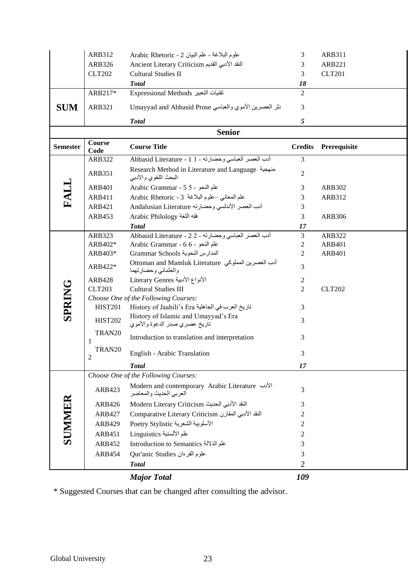|                 | ARB312         | علوم البلاغة - علم البيان Arabic Rhetoric - 2                                            | 3              | ARB311        |
|-----------------|----------------|------------------------------------------------------------------------------------------|----------------|---------------|
|                 | ARB326         | Ancient Literary Criticism النقد الأدبى القديم                                           | 3              | <b>ARB221</b> |
|                 | <b>CLT202</b>  | Cultural Studies II                                                                      | 3              | <b>CLT201</b> |
|                 |                | <b>Total</b>                                                                             | 18             |               |
|                 | ARB217*        | Expressional Methods تقنيات التعبير                                                      | 2              |               |
| <b>SUM</b>      | <b>ARB321</b>  | نثر العصرين الأموي والعباسي Umayyad and Abbasid Prose                                    | 3              |               |
|                 |                | <b>Total</b>                                                                             | 5              |               |
|                 |                | <b>Senior</b>                                                                            |                |               |
| <b>Semester</b> | Course<br>Code | <b>Course Title</b>                                                                      | <b>Credits</b> | Prerequisite  |
|                 | <b>ARB322</b>  | أدب العصر العباسي وحضارته - 1 Abbasid Literature - 1                                     | $\overline{3}$ |               |
|                 | ARB351         | Research Method in Literature and Language منهجية<br>البحث اللغوي والأدبي                | $\overline{2}$ |               |
| FALL            | <b>ARB401</b>  | Arabic Grammar - 5 5 - 2                                                                 | 3              | <b>ARB302</b> |
|                 | <b>ARB411</b>  | علم المعاني -علوم البلاغة Arabic Rhetoric - 3                                            | 3              | ARB312        |
|                 | ARB421         | أدب العصر الأندلسي وحضارته Andalusian Literature                                         | 3              |               |
|                 | <b>ARB453</b>  | Arabic Philology                                                                         | 3              | <b>ARB306</b> |
|                 |                | <b>Total</b>                                                                             | 17             |               |
|                 | ARB323         | أدب العصر العباسي وحضارته - Abbasid Literature - 2 2                                     | $\mathfrak{Z}$ | ARB322        |
|                 | ARB402*        | Arabic Grammar - 6 6 - علم النحو                                                         | $\sqrt{2}$     | <b>ARB401</b> |
|                 | ARB403*        | المدارس النحوية Grammar Schools                                                          | $\overline{2}$ | <b>ARB401</b> |
|                 | ARB422*        | أدب العصرين المملوكي  Ottoman and Mamluk Literature<br>والعثماني وحضارتهما               | 3              |               |
|                 | <b>ARB428</b>  | الأنواع الأدبية Literary Genres                                                          | 2              |               |
| <b>SPRING</b>   | <b>CLT203</b>  | <b>Cultural Studies III</b>                                                              | $\overline{2}$ | <b>CLT202</b> |
|                 |                | Choose One of the Following Courses:                                                     |                |               |
|                 | <b>HIST201</b> | تاريخ العرب في الجاهلية History of Jaahili's Era<br>History of Islamic and Umayyad's Era | 3              |               |
|                 | <b>HIST202</b> | تاريخ عصري صدر الدعوة والأموي                                                            | 3              |               |
|                 | TRAN20<br>1    | Introduction to translation and interpretation                                           | 3              |               |
|                 | TRAN20<br>2    | English - Arabic Translation                                                             | 3              |               |
|                 |                | <b>Total</b>                                                                             | 17             |               |
|                 |                | Choose One of the Following Courses:                                                     |                |               |
|                 | ARB423         | Modern and contemporary Arabic Literature الأدب<br>العربي الحديث والمعاصر                | 3              |               |
| SUNIMER         | ARB426         | النقد الأدبي الحديث Modern Literary Criticism                                            | 3              |               |
|                 | <b>ARB427</b>  | النقد الأدبي المقارن Comparative Literary Criticism                                      | 2              |               |
|                 | <b>ARB429</b>  | الأسلوبية الشعرية Stylistic                                                              | 2              |               |
|                 | ARB451         | علم الألسنية Linguistics                                                                 | 2              |               |
|                 | ARB452         | Introduction to Semantics علم الدلالة                                                    | 3              |               |
|                 | <b>ARB454</b>  | Qur'anic Studies علوم القرءان                                                            | 3              |               |
|                 |                | <b>Total</b>                                                                             | $\overline{2}$ |               |
|                 |                | <b>Major Total</b>                                                                       | 109            |               |

\* Suggested Courses that can be changed after consulting the advisor.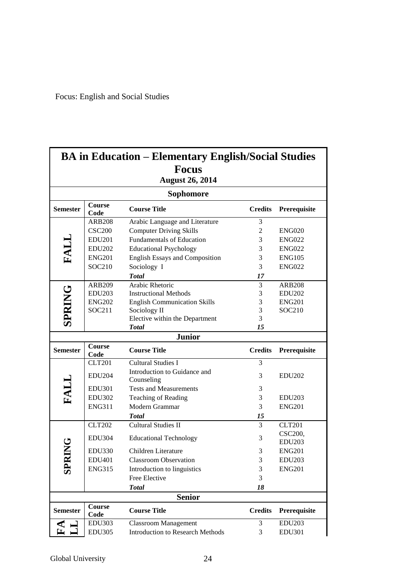Focus: English and Social Studies

|                 |                                | <b>BA</b> in Education – Elementary English/Social Studies             |                |                                |
|-----------------|--------------------------------|------------------------------------------------------------------------|----------------|--------------------------------|
|                 |                                | <b>Focus</b>                                                           |                |                                |
|                 |                                | <b>August 26, 2014</b>                                                 |                |                                |
|                 |                                | Sophomore                                                              |                |                                |
| <b>Semester</b> | Course<br>Code                 | <b>Course Title</b>                                                    | <b>Credits</b> | Prerequisite                   |
|                 | <b>ARB208</b>                  | Arabic Language and Literature                                         | 3              |                                |
|                 | <b>CSC200</b>                  | <b>Computer Driving Skills</b>                                         | $\overline{2}$ | <b>ENG020</b>                  |
|                 | <b>EDU201</b>                  | <b>Fundamentals of Education</b>                                       | 3              | <b>ENG022</b>                  |
| FALI            | <b>EDU202</b>                  | <b>Educational Psychology</b>                                          | 3              | <b>ENG022</b>                  |
|                 | <b>ENG201</b>                  | <b>English Essays and Composition</b>                                  | 3              | <b>ENG105</b>                  |
|                 | SOC210                         | Sociology I                                                            | 3              | <b>ENG022</b>                  |
|                 |                                | <b>Total</b>                                                           | 17             |                                |
|                 | <b>ARB209</b>                  | Arabic Rhetoric                                                        | 3              | <b>ARB208</b>                  |
| <b>SPRING</b>   | <b>EDU203</b>                  | <b>Instructional Methods</b>                                           | 3              | <b>EDU202</b>                  |
|                 | <b>ENG202</b>                  | <b>English Communication Skills</b>                                    | 3              | <b>ENG201</b>                  |
|                 | SOC211                         | Sociology II                                                           | 3              | SOC210                         |
|                 |                                | Elective within the Department                                         | 3              |                                |
|                 |                                | <b>Total</b>                                                           | 15             |                                |
|                 |                                | <b>Junior</b>                                                          |                |                                |
|                 |                                |                                                                        |                |                                |
| <b>Semester</b> | <b>Course</b><br>Code          | <b>Course Title</b>                                                    | <b>Credits</b> | Prerequisite                   |
|                 | <b>CLT201</b>                  | <b>Cultural Studies I</b>                                              | 3              |                                |
|                 | <b>EDU204</b>                  | Introduction to Guidance and                                           | 3              | <b>EDU202</b>                  |
|                 | <b>EDU301</b>                  | Counseling<br><b>Tests and Measurements</b>                            | 3              |                                |
|                 | <b>EDU302</b>                  |                                                                        | 3              | <b>EDU203</b>                  |
| FALI            | <b>ENG311</b>                  | Teaching of Reading<br>Modern Grammar                                  | 3              | <b>ENG201</b>                  |
|                 |                                | Total                                                                  |                |                                |
|                 |                                |                                                                        | 15<br>3        |                                |
|                 | <b>CLT202</b>                  | <b>Cultural Studies II</b>                                             |                | <b>CLT201</b>                  |
|                 | <b>EDU304</b>                  | <b>Educational Technology</b>                                          | 3              | CSC200,<br><b>EDU203</b>       |
|                 | <b>EDU330</b>                  | Children Literature                                                    | 3              | <b>ENG201</b>                  |
|                 | EDU401                         | <b>Classroom Observation</b>                                           | 3              | <b>EDU203</b>                  |
|                 |                                |                                                                        |                |                                |
| සි              | <b>ENG315</b>                  | Introduction to linguistics                                            | 3<br>3         | <b>ENG201</b>                  |
|                 |                                | Free Elective                                                          |                |                                |
|                 |                                | <b>Total</b><br><b>Senior</b>                                          | 18             |                                |
|                 | Course                         |                                                                        |                |                                |
| <b>Semester</b> | Code                           | <b>Course Title</b>                                                    | <b>Credits</b> | Prerequisite                   |
|                 | <b>EDU303</b><br><b>EDU305</b> | <b>Classroom Management</b><br><b>Introduction to Research Methods</b> | 3<br>3         | <b>EDU203</b><br><b>EDU301</b> |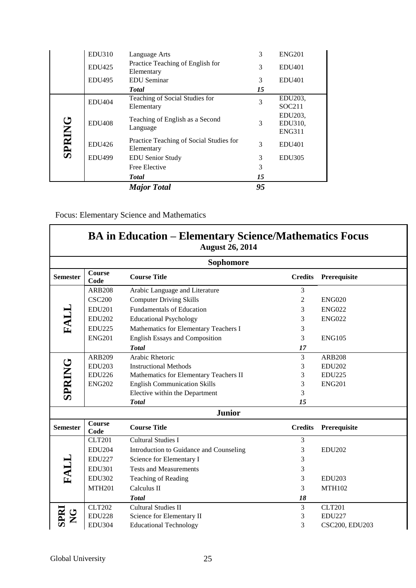|               | <b>EDU310</b> | Language Arts                                         | 3  | <b>ENG201</b>                       |
|---------------|---------------|-------------------------------------------------------|----|-------------------------------------|
|               | <b>EDU425</b> | Practice Teaching of English for<br>Elementary        | 3  | <b>EDU401</b>                       |
|               | <b>EDU495</b> | <b>EDU</b> Seminar                                    | 3  | <b>EDU401</b>                       |
|               |               | <b>Total</b>                                          | 15 |                                     |
|               | <b>EDU404</b> | Teaching of Social Studies for<br>Elementary          | 3  | EDU203,<br>SOC211                   |
| <b>SPRING</b> | <b>EDU408</b> | Teaching of English as a Second<br>Language           | 3  | EDU203,<br>EDU310,<br><b>ENG311</b> |
|               | <b>EDU426</b> | Practice Teaching of Social Studies for<br>Elementary | 3  | <b>EDU401</b>                       |
|               | <b>EDU499</b> | <b>EDU</b> Senior Study                               | 3  | <b>EDU305</b>                       |
|               |               | Free Elective                                         | 3  |                                     |
|               |               | <b>Total</b>                                          | 15 |                                     |
|               |               | <b>Major Total</b>                                    | 95 |                                     |

Focus: Elementary Science and Mathematics

|                 |                | <b>BA in Education – Elementary Science/Mathematics Focus</b><br><b>August 26, 2014</b> |                |                |
|-----------------|----------------|-----------------------------------------------------------------------------------------|----------------|----------------|
|                 |                | <b>Sophomore</b>                                                                        |                |                |
| <b>Semester</b> | Course<br>Code | <b>Course Title</b>                                                                     | <b>Credits</b> | Prerequisite   |
|                 | <b>ARB208</b>  | Arabic Language and Literature                                                          | 3              |                |
|                 | <b>CSC200</b>  | <b>Computer Driving Skills</b>                                                          | $\overline{2}$ | <b>ENG020</b>  |
|                 | <b>EDU201</b>  | <b>Fundamentals of Education</b>                                                        | 3              | <b>ENG022</b>  |
|                 | <b>EDU202</b>  | <b>Educational Psychology</b>                                                           | 3              | <b>ENG022</b>  |
| FALL            | <b>EDU225</b>  | Mathematics for Elementary Teachers I                                                   | 3              |                |
|                 | <b>ENG201</b>  | <b>English Essays and Composition</b>                                                   | 3              | <b>ENG105</b>  |
|                 |                | <b>Total</b>                                                                            | 17             |                |
|                 | <b>ARB209</b>  | Arabic Rhetoric                                                                         | 3              | <b>ARB208</b>  |
|                 | <b>EDU203</b>  | <b>Instructional Methods</b>                                                            | 3              | <b>EDU202</b>  |
| <b>SPRING</b>   | <b>EDU226</b>  | Mathematics for Elementary Teachers II                                                  | 3              | <b>EDU225</b>  |
|                 | <b>ENG202</b>  | <b>English Communication Skills</b>                                                     | 3              | <b>ENG201</b>  |
|                 |                | Elective within the Department                                                          | 3              |                |
|                 |                | <b>Total</b>                                                                            | 15             |                |
|                 |                | <b>Junior</b>                                                                           |                |                |
| <b>Semester</b> | Course<br>Code | <b>Course Title</b>                                                                     | <b>Credits</b> | Prerequisite   |
|                 | <b>CLT201</b>  | <b>Cultural Studies I</b>                                                               | 3              |                |
|                 | <b>EDU204</b>  | Introduction to Guidance and Counseling                                                 | 3              | <b>EDU202</b>  |
|                 | <b>EDU227</b>  | Science for Elementary I                                                                | 3              |                |
| <b>FALL</b>     | <b>EDU301</b>  | <b>Tests and Measurements</b>                                                           | 3              |                |
|                 | <b>EDU302</b>  | Teaching of Reading                                                                     | 3              | <b>EDU203</b>  |
|                 | <b>MTH201</b>  | Calculus II                                                                             | 3              | <b>MTH102</b>  |
|                 |                | <b>Total</b>                                                                            | 18             |                |
|                 | <b>CLT202</b>  | <b>Cultural Studies II</b>                                                              | 3              | <b>CLT201</b>  |
|                 | <b>EDU228</b>  | Science for Elementary II                                                               | 3              | <b>EDU227</b>  |
|                 | <b>EDU304</b>  | <b>Educational Technology</b>                                                           | 3              | CSC200, EDU203 |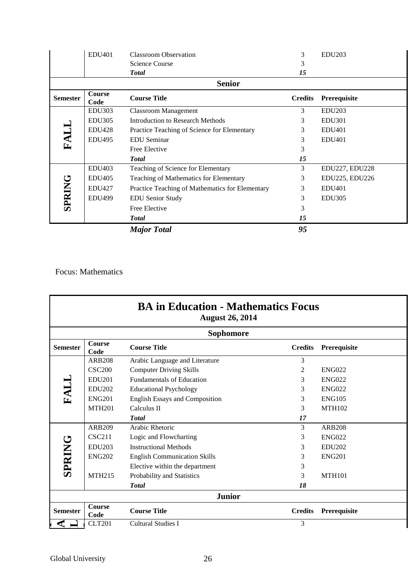|                 | <b>EDU401</b>         | <b>Classroom Observation</b>                    | 3              | <b>EDU203</b>  |
|-----------------|-----------------------|-------------------------------------------------|----------------|----------------|
|                 |                       | Science Course                                  | 3              |                |
|                 |                       | <b>Total</b>                                    | 15             |                |
|                 |                       | <b>Senior</b>                                   |                |                |
| <b>Semester</b> | <b>Course</b><br>Code | <b>Course Title</b>                             | <b>Credits</b> | Prerequisite   |
|                 | <b>EDU303</b>         | <b>Classroom Management</b>                     | 3              | <b>EDU203</b>  |
|                 | <b>EDU305</b>         | Introduction to Research Methods                | 3              | <b>EDU301</b>  |
|                 | <b>EDU428</b>         | Practice Teaching of Science for Elementary     | 3              | <b>EDU401</b>  |
| FALI            | <b>EDU495</b>         | <b>EDU</b> Seminar                              | 3              | <b>EDU401</b>  |
|                 |                       | Free Elective                                   | 3              |                |
|                 |                       | <b>Total</b>                                    | 15             |                |
|                 | <b>EDU403</b>         | Teaching of Science for Elementary              | 3              | EDU227, EDU228 |
|                 | <b>EDU405</b>         | Teaching of Mathematics for Elementary          | 3              | EDU225, EDU226 |
| <b>SPRING</b>   | <b>EDU427</b>         | Practice Teaching of Mathematics for Elementary | 3              | <b>EDU401</b>  |
|                 | <b>EDU499</b>         | <b>EDU Senior Study</b>                         | 3              | <b>EDU305</b>  |
|                 |                       | Free Elective                                   | 3              |                |
|                 |                       | <b>Total</b>                                    | 15             |                |
|                 |                       | <b>Major Total</b>                              | 95             |                |

Focus: Mathematics

|                 |                       | <b>Sophomore</b>                      |                |               |
|-----------------|-----------------------|---------------------------------------|----------------|---------------|
| <b>Semester</b> | <b>Course</b><br>Code | <b>Course Title</b>                   | <b>Credits</b> | Prerequisite  |
|                 | <b>ARB208</b>         | Arabic Language and Literature        | 3              |               |
|                 | <b>CSC200</b>         | <b>Computer Driving Skills</b>        | 2              | <b>ENG022</b> |
|                 | <b>EDU201</b>         | <b>Fundamentals of Education</b>      | 3              | <b>ENG022</b> |
| FALL            | <b>EDU202</b>         | <b>Educational Psychology</b>         | 3              | <b>ENG022</b> |
|                 | ENG201                | <b>English Essays and Composition</b> | 3              | <b>ENG105</b> |
|                 | <b>MTH201</b>         | Calculus II                           | 3              | <b>MTH102</b> |
|                 |                       | <b>T</b> otal                         | 17             |               |
|                 | ARB209                | Arabic Rhetoric                       | 3              | <b>ARB208</b> |
|                 | CSC211                | Logic and Flowcharting                | 3              | <b>ENG022</b> |
|                 | <b>EDU203</b>         | <b>Instructional Methods</b>          | 3              | <b>EDU202</b> |
| <b>SPRING</b>   | <b>ENG202</b>         | <b>English Communication Skills</b>   | 3              | <b>ENG201</b> |
|                 |                       | Elective within the department        | 3              |               |
|                 | <b>MTH215</b>         | Probability and Statistics            | 3              | <b>MTH101</b> |
|                 |                       | <b>Total</b>                          | 18             |               |
|                 |                       | <b>Junior</b>                         |                |               |
| <b>Semester</b> | <b>Course</b><br>Code | <b>Course Title</b>                   | <b>Credits</b> | Prerequisite  |
|                 | <b>CLT201</b>         | <b>Cultural Studies I</b>             | 3              |               |
|                 |                       |                                       |                |               |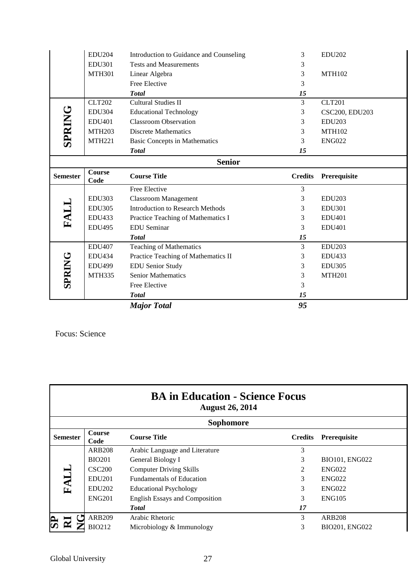|                 | <b>EDU204</b> | Introduction to Guidance and Counseling | 3              | <b>EDU202</b>         |
|-----------------|---------------|-----------------------------------------|----------------|-----------------------|
|                 | <b>EDU301</b> | <b>Tests and Measurements</b>           | 3              |                       |
|                 | <b>MTH301</b> | Linear Algebra                          | 3              | <b>MTH102</b>         |
|                 |               | Free Elective                           | 3              |                       |
|                 |               | <b>Total</b>                            | 15             |                       |
|                 | <b>CLT202</b> | <b>Cultural Studies II</b>              | 3              | <b>CLT201</b>         |
|                 | <b>EDU304</b> | <b>Educational Technology</b>           | 3              | <b>CSC200, EDU203</b> |
|                 | <b>EDU401</b> | <b>Classroom Observation</b>            | 3              | <b>EDU203</b>         |
| <b>SPRING</b>   | <b>MTH203</b> | <b>Discrete Mathematics</b>             | 3              | <b>MTH102</b>         |
|                 | <b>MTH221</b> | <b>Basic Concepts in Mathematics</b>    | 3              | <b>ENG022</b>         |
|                 |               | <b>Total</b>                            | 15             |                       |
|                 |               | <b>Senior</b>                           |                |                       |
| <b>Semester</b> | <b>Course</b> | <b>Course Title</b>                     | <b>Credits</b> | Prerequisite          |
|                 | Code          |                                         |                |                       |
|                 |               | Free Elective                           | 3              |                       |
|                 | <b>EDU303</b> | <b>Classroom Management</b>             | 3              | <b>EDU203</b>         |
|                 | <b>EDU305</b> | <b>Introduction to Research Methods</b> | 3              | <b>EDU301</b>         |
|                 | <b>EDU433</b> | Practice Teaching of Mathematics I      | 3              | <b>EDU401</b>         |
| <b>FALL</b>     | <b>EDU495</b> | <b>EDU</b> Seminar                      | 3              | <b>EDU401</b>         |
|                 |               | <b>Total</b>                            | 15             |                       |
|                 | <b>EDU407</b> | <b>Teaching of Mathematics</b>          | $\overline{3}$ | <b>EDU203</b>         |
|                 | <b>EDU434</b> | Practice Teaching of Mathematics II     | 3              | <b>EDU433</b>         |
|                 | <b>EDU499</b> | <b>EDU Senior Study</b>                 | 3              | <b>EDU305</b>         |
|                 | <b>MTH335</b> | <b>Senior Mathematics</b>               | 3              | <b>MTH201</b>         |
| <b>SPRING</b>   |               | Free Elective                           | 3              |                       |
|                 |               | <b>Total</b>                            | 15             |                       |

Focus: Science

| <b>BA in Education - Science Focus</b><br><b>August 26, 2014</b> |                       |                                       |                |                |  |
|------------------------------------------------------------------|-----------------------|---------------------------------------|----------------|----------------|--|
| <b>Sophomore</b>                                                 |                       |                                       |                |                |  |
| <b>Semester</b>                                                  | <b>Course</b><br>Code | <b>Course Title</b>                   | <b>Credits</b> | Prerequisite   |  |
| FALL                                                             | <b>ARB208</b>         | Arabic Language and Literature        | 3              |                |  |
|                                                                  | <b>BIO201</b>         | General Biology I                     | 3              | BIO101, ENG022 |  |
|                                                                  | <b>CSC200</b>         | <b>Computer Driving Skills</b>        | $\mathfrak{D}$ | <b>ENG022</b>  |  |
|                                                                  | <b>EDU201</b>         | <b>Fundamentals of Education</b>      | 3              | <b>ENG022</b>  |  |
|                                                                  | <b>EDU202</b>         | <b>Educational Psychology</b>         | 3              | <b>ENG022</b>  |  |
|                                                                  | <b>ENG201</b>         | <b>English Essays and Composition</b> | 3              | ENG105         |  |
|                                                                  |                       | <b>Total</b>                          | 17             |                |  |
|                                                                  | <b>ARB209</b>         | Arabic Rhetoric                       | 3              | <b>ARB208</b>  |  |
|                                                                  | <b>BIO212</b>         | Microbiology & Immunology             | 3              | BIO201, ENG022 |  |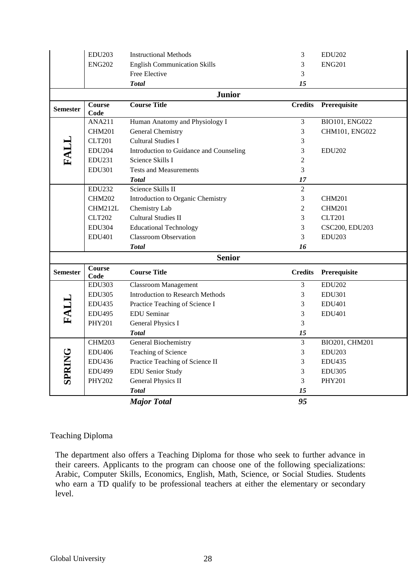|                 | <b>EDU203</b>         | <b>Instructional Methods</b>             | 3              | <b>EDU202</b>  |  |
|-----------------|-----------------------|------------------------------------------|----------------|----------------|--|
|                 | <b>ENG202</b>         | <b>English Communication Skills</b><br>3 |                | <b>ENG201</b>  |  |
|                 |                       | Free Elective                            | 3              |                |  |
|                 |                       | <b>Total</b>                             | 15             |                |  |
| <b>Junior</b>   |                       |                                          |                |                |  |
| <b>Semester</b> | <b>Course</b><br>Code | <b>Course Title</b>                      | <b>Credits</b> | Prerequisite   |  |
|                 | <b>ANA211</b>         | Human Anatomy and Physiology I           | $\overline{3}$ | BIO101, ENG022 |  |
|                 | <b>CHM201</b>         | <b>General Chemistry</b>                 | 3              | CHM101, ENG022 |  |
| FALL            | <b>CLT201</b>         | <b>Cultural Studies I</b>                | 3              |                |  |
|                 | <b>EDU204</b>         | Introduction to Guidance and Counseling  | 3              | <b>EDU202</b>  |  |
|                 | <b>EDU231</b>         | Science Skills I                         | $\overline{2}$ |                |  |
|                 | <b>EDU301</b>         | <b>Tests and Measurements</b>            | 3              |                |  |
|                 |                       | <b>Total</b>                             | 17             |                |  |
|                 | <b>EDU232</b>         | Science Skills II                        | $\overline{2}$ |                |  |
|                 | <b>CHM202</b>         | Introduction to Organic Chemistry        | 3              | <b>CHM201</b>  |  |
|                 | CHM212L               | Chemistry Lab                            | $\overline{2}$ | <b>CHM201</b>  |  |
|                 | <b>CLT202</b>         | <b>Cultural Studies II</b>               | 3              | <b>CLT201</b>  |  |
|                 | <b>EDU304</b>         | <b>Educational Technology</b>            | 3              | CSC200, EDU203 |  |
|                 | <b>EDU401</b>         | <b>Classroom Observation</b>             | 3              | <b>EDU203</b>  |  |
|                 |                       | <b>Total</b>                             | 16             |                |  |
| <b>Senior</b>   |                       |                                          |                |                |  |
| <b>Semester</b> | <b>Course</b><br>Code | <b>Course Title</b>                      | <b>Credits</b> | Prerequisite   |  |
|                 | <b>EDU303</b>         | <b>Classroom Management</b>              | 3              | <b>EDU202</b>  |  |
|                 | <b>EDU305</b>         | <b>Introduction to Research Methods</b>  | 3              | <b>EDU301</b>  |  |
| FALL            | <b>EDU435</b>         | Practice Teaching of Science I           | 3              | <b>EDU401</b>  |  |
|                 | <b>EDU495</b>         | <b>EDU</b> Seminar                       | 3              | <b>EDU401</b>  |  |
|                 | <b>PHY201</b>         | <b>General Physics I</b>                 | 3              |                |  |
|                 |                       | <b>Total</b>                             | 15             |                |  |
| <b>SPRING</b>   | <b>CHM203</b>         | General Biochemistry                     | $\overline{3}$ | BIO201, CHM201 |  |
|                 | <b>EDU406</b>         | Teaching of Science                      | 3              | <b>EDU203</b>  |  |
|                 | EDU436                | Practice Teaching of Science II          | 3              | <b>EDU435</b>  |  |
|                 | <b>EDU499</b>         | <b>EDU Senior Study</b>                  | 3              | <b>EDU305</b>  |  |
|                 | <b>PHY202</b>         | General Physics II                       | 3              | <b>PHY201</b>  |  |
|                 |                       | <b>Total</b>                             | 15             |                |  |
|                 |                       | <b>Major Total</b>                       | 95             |                |  |

# Teaching Diploma

The department also offers a Teaching Diploma for those who seek to further advance in their careers. Applicants to the program can choose one of the following specializations: Arabic, Computer Skills, Economics, English, Math, Science, or Social Studies. Students who earn a TD qualify to be professional teachers at either the elementary or secondary level.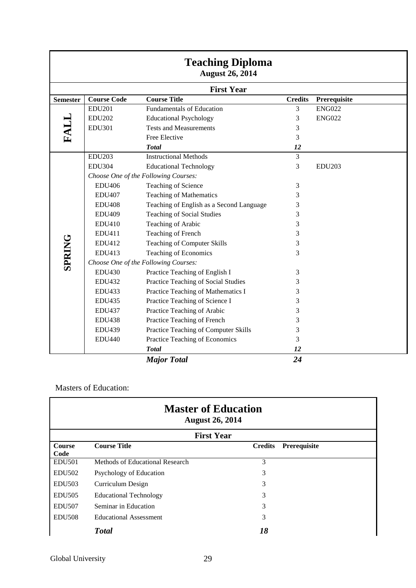| <b>Teaching Diploma</b><br><b>August 26, 2014</b> |                                      |                                          |                |               |  |
|---------------------------------------------------|--------------------------------------|------------------------------------------|----------------|---------------|--|
|                                                   |                                      | <b>First Year</b>                        |                |               |  |
| <b>Semester</b>                                   | <b>Course Code</b>                   | <b>Course Title</b>                      | <b>Credits</b> | Prerequisite  |  |
| FALL                                              | <b>EDU201</b>                        | <b>Fundamentals of Education</b>         | 3              | <b>ENG022</b> |  |
|                                                   | <b>EDU202</b>                        | <b>Educational Psychology</b>            | 3              | <b>ENG022</b> |  |
|                                                   | <b>EDU301</b>                        | <b>Tests and Measurements</b>            | 3              |               |  |
|                                                   |                                      | Free Elective                            | 3              |               |  |
|                                                   |                                      | <b>Total</b>                             | 12             |               |  |
|                                                   | <b>EDU203</b>                        | <b>Instructional Methods</b>             | 3              |               |  |
|                                                   | <b>EDU304</b>                        | <b>Educational Technology</b>            | 3              | <b>EDU203</b> |  |
|                                                   |                                      | Choose One of the Following Courses:     |                |               |  |
|                                                   | <b>EDU406</b>                        | Teaching of Science                      | 3              |               |  |
|                                                   | <b>EDU407</b>                        | <b>Teaching of Mathematics</b>           | 3              |               |  |
|                                                   | <b>EDU408</b>                        | Teaching of English as a Second Language | 3              |               |  |
|                                                   | <b>EDU409</b>                        | <b>Teaching of Social Studies</b>        | 3              |               |  |
|                                                   | <b>EDU410</b>                        | Teaching of Arabic                       | 3              |               |  |
|                                                   | EDU411                               | Teaching of French                       | 3              |               |  |
|                                                   | EDU412                               | Teaching of Computer Skills              | 3              |               |  |
|                                                   | EDU413                               | <b>Teaching of Economics</b>             | 3              |               |  |
| <b>SPRING</b>                                     | Choose One of the Following Courses: |                                          |                |               |  |
|                                                   | <b>EDU430</b>                        | Practice Teaching of English I           | 3              |               |  |
|                                                   | <b>EDU432</b>                        | Practice Teaching of Social Studies      | 3              |               |  |
|                                                   | <b>EDU433</b>                        | Practice Teaching of Mathematics I       | 3              |               |  |
|                                                   | <b>EDU435</b>                        | Practice Teaching of Science I           | 3              |               |  |
|                                                   | <b>EDU437</b>                        | Practice Teaching of Arabic              | 3              |               |  |
|                                                   | <b>EDU438</b>                        | Practice Teaching of French              | 3              |               |  |
|                                                   | <b>EDU439</b>                        | Practice Teaching of Computer Skills     | 3              |               |  |
|                                                   | <b>EDU440</b>                        | Practice Teaching of Economics           | 3              |               |  |
|                                                   |                                      | <b>Total</b>                             | 12             |               |  |
|                                                   |                                      | <b>Major Total</b>                       | 24             |               |  |

Masters of Education:

| <b>Master of Education</b><br><b>August 26, 2014</b> |                                 |                                |  |  |
|------------------------------------------------------|---------------------------------|--------------------------------|--|--|
| <b>First Year</b>                                    |                                 |                                |  |  |
| <b>Course</b>                                        | <b>Course Title</b>             | Prerequisite<br><b>Credits</b> |  |  |
| Code                                                 |                                 |                                |  |  |
| <b>EDU501</b>                                        | Methods of Educational Research | 3                              |  |  |
| <b>EDU502</b>                                        | Psychology of Education         | 3                              |  |  |
| <b>EDU503</b>                                        | Curriculum Design               | 3                              |  |  |
| <b>EDU505</b>                                        | <b>Educational Technology</b>   | 3                              |  |  |
| <b>EDU507</b>                                        | Seminar in Education            | 3                              |  |  |
| <b>EDU508</b>                                        | <b>Educational Assessment</b>   | 3                              |  |  |
|                                                      | <b>Total</b>                    | 18                             |  |  |